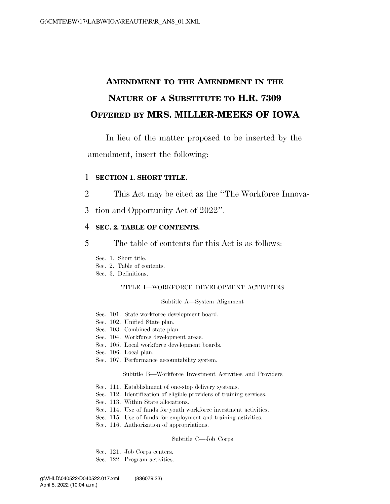# **AMENDMENT TO THE AMENDMENT IN THE NATURE OF A SUBSTITUTE TO H.R. 7309 OFFERED BY MRS. MILLER-MEEKS OF IOWA**

In lieu of the matter proposed to be inserted by the amendment, insert the following:

## 1 **SECTION 1. SHORT TITLE.**

- 2 This Act may be cited as the ''The Workforce Innova-
- 3 tion and Opportunity Act of 2022''.

# 4 **SEC. 2. TABLE OF CONTENTS.**

- 5 The table of contents for this Act is as follows:
	- Sec. 1. Short title.
	- Sec. 2. Table of contents.
	- Sec. 3. Definitions.

## TITLE I—WORKFORCE DEVELOPMENT ACTIVITIES

#### Subtitle A—System Alignment

- Sec. 101. State workforce development board.
- Sec. 102. Unified State plan.
- Sec. 103. Combined state plan.
- Sec. 104. Workforce development areas.
- Sec. 105. Local workforce development boards.
- Sec. 106. Local plan.
- Sec. 107. Performance accountability system.

Subtitle B—Workforce Investment Activities and Providers

- Sec. 111. Establishment of one-stop delivery systems.
- Sec. 112. Identification of eligible providers of training services.
- Sec. 113. Within State allocations.
- Sec. 114. Use of funds for youth workforce investment activities.
- Sec. 115. Use of funds for employment and training activities.
- Sec. 116. Authorization of appropriations.

#### Subtitle C—Job Corps

- Sec. 121. Job Corps centers.
- Sec. 122. Program activities.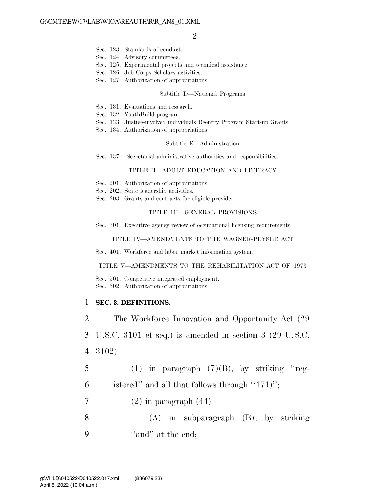- Sec. 123. Standards of conduct.
- Sec. 124. Advisory committees.
- Sec. 125. Experimental projects and technical assistance.
- Sec. 126. Job Corps Scholars activities.
- Sec. 127. Authorization of appropriations.

#### Subtitle D—National Programs

- Sec. 131. Evaluations and research.
- Sec. 132. YouthBuild program.
- Sec. 133. Justice-involved individuals Reentry Program Start-up Grants.
- Sec. 134. Authorization of appropriations.

#### Subtitle E—Administration

Sec. 137. Secretarial administrative authorities and responsibilities.

#### TITLE II—ADULT EDUCATION AND LITERACY

- Sec. 201. Authorization of appropriations.
- Sec. 202. State leadership activities.
- Sec. 203. Grants and contracts for eligible provider.

#### TITLE III—GENERAL PROVISIONS

Sec. 301. Executive agency review of occupational licensing requirements.

#### TITLE IV—AMENDMENTS TO THE WAGNER-PEYSER ACT

Sec.  $401$ . Workforce and labor market information system.

#### TITLE V—AMENDMENTS TO THE REHABILITATION ACT OF 1973

Sec. 501. Competitive integrated employment. Sec. 502. Authorization of appropriations.

## 1 **SEC. 3. DEFINITIONS.**

2 The Workforce Innovation and Opportunity Act (29

3 U.S.C. 3101 et seq.) is amended in section 3 (29 U.S.C.

- 4 3102)—
- 5 (1) in paragraph  $(7)(B)$ , by striking "reg-
- 6 istered'' and all that follows through  $"171$ ";
- $7 \qquad (2)$  in paragraph  $(44)$ —
- 8 (A) in subparagraph (B), by striking 9 "and" at the end;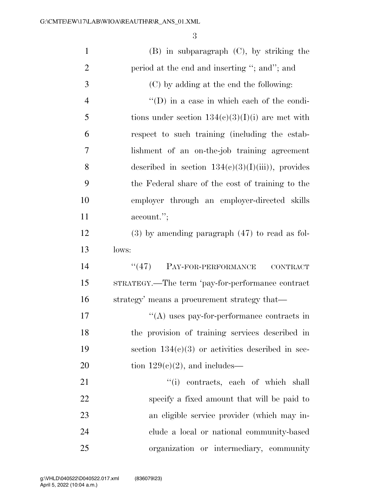| $\mathbf{1}$   | $(B)$ in subparagraph $(C)$ , by striking the       |
|----------------|-----------------------------------------------------|
| $\overline{2}$ | period at the end and inserting "; and"; and        |
| $\mathfrak{Z}$ | (C) by adding at the end the following:             |
| $\overline{4}$ | $\lq\lq$ (D) in a case in which each of the condi-  |
| 5              | tions under section $134(c)(3)(1)(i)$ are met with  |
| 6              | respect to such training (including the estab-      |
| $\overline{7}$ | lishment of an on-the-job training agreement        |
| 8              | described in section $134(c)(3)(I)(iii)$ , provides |
| 9              | the Federal share of the cost of training to the    |
| 10             | employer through an employer-directed skills        |
| 11             | account.";                                          |
| 12             | $(3)$ by amending paragraph $(47)$ to read as fol-  |
| 13             | lows:                                               |
| 14             | PAY-FOR-PERFORMANCE<br>(47)<br><b>CONTRACT</b>      |
| 15             | STRATEGY.—The term 'pay-for-performance contract    |
| 16             | strategy' means a procurement strategy that—        |
| 17             | $\lq\lq$ uses pay-for-performance contracts in      |
| 18             | the provision of training services described in     |
| 19             | section $134(c)(3)$ or activities described in sec- |
| 20             | tion $129(c)(2)$ , and includes—                    |
| 21             | "(i) contracts, each of which shall                 |
| 22             | specify a fixed amount that will be paid to         |
| 23             | an eligible service provider (which may in-         |
| 24             | clude a local or national community-based           |
| 25             | organization or intermediary, community             |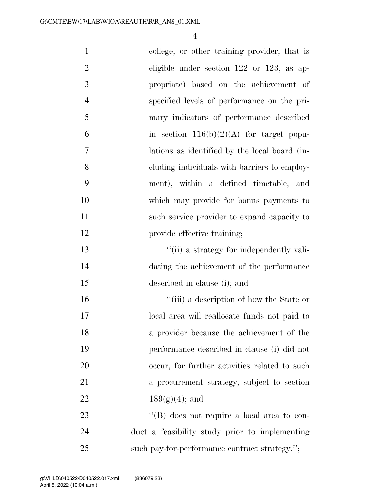| $\mathbf{1}$   | college, or other training provider, that is       |
|----------------|----------------------------------------------------|
| $\overline{2}$ | eligible under section $122$ or $123$ , as ap-     |
| 3              | propriate) based on the achievement of             |
| $\overline{4}$ | specified levels of performance on the pri-        |
| 5              | mary indicators of performance described           |
| 6              | in section $116(b)(2)(A)$ for target popu-         |
| $\tau$         | lations as identified by the local board (in-      |
| 8              | cluding individuals with barriers to employ-       |
| 9              | ment), within a defined timetable, and             |
| 10             | which may provide for bonus payments to            |
| 11             | such service provider to expand capacity to        |
| 12             | provide effective training;                        |
| 13             | "(ii) a strategy for independently vali-           |
| 14             | dating the achievement of the performance          |
| 15             | described in clause (i); and                       |
| 16             | "(iii) a description of how the State or           |
| 17             | local area will reallocate funds not paid to       |
| 18             | a provider because the achievement of the          |
| 19             | performance described in clause (i) did not        |
| 20             | occur, for further activities related to such      |
| 21             | a procurement strategy, subject to section         |
| 22             | $189(g)(4)$ ; and                                  |
| 23             | $\lq\lq (B)$ does not require a local area to con- |
| 24             | duct a feasibility study prior to implementing     |
| 25             | such pay-for-performance contract strategy.";      |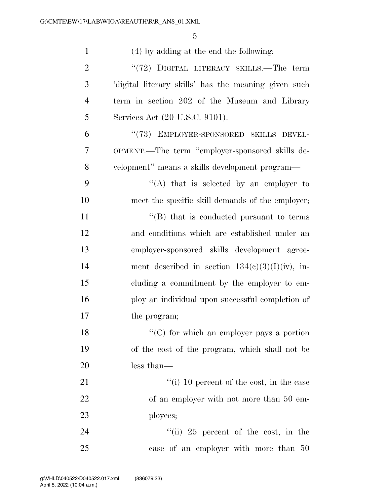| $\mathbf{1}$   | $(4)$ by adding at the end the following:            |
|----------------|------------------------------------------------------|
| $\overline{2}$ | "(72) DIGITAL LITERACY SKILLS.—The term              |
| 3              | 'digital literary skills' has the meaning given such |
| $\overline{4}$ | term in section 202 of the Museum and Library        |
| 5              | Services Act (20 U.S.C. 9101).                       |
| 6              | "(73) EMPLOYER-SPONSORED SKILLS DEVEL-               |
| 7              | OPMENT.—The term "employer-sponsored skills de-      |
| 8              | velopment" means a skills development program—       |
| 9              | "(A) that is selected by an employer to              |
| 10             | meet the specific skill demands of the employer;     |
| 11             | "(B) that is conducted pursuant to terms             |
| 12             | and conditions which are established under an        |
| 13             | employer-sponsored skills development agree-         |
| 14             | ment described in section $134(e)(3)(I)(iv)$ , in-   |
| 15             | cluding a commitment by the employer to em-          |
| 16             | ploy an individual upon successful completion of     |
| 17             | the program;                                         |
| 18             | $\lq\lq$ (C) for which an employer pays a portion    |
| 19             | of the cost of the program, which shall not be       |
| 20             | less than—                                           |
| 21             | "(i) 10 percent of the cost, in the case             |
| 22             | of an employer with not more than 50 em-             |
| 23             | ployees;                                             |
| 24             | "(ii) 25 percent of the cost, in the                 |
| 25             | case of an employer with more than 50                |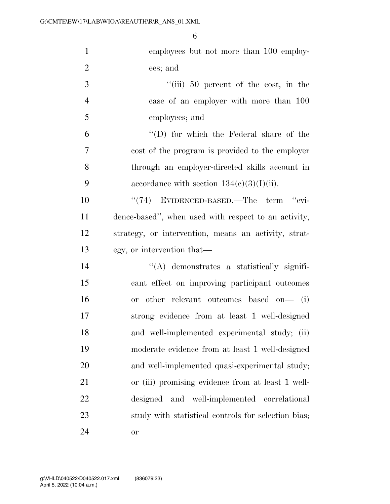| $\mathbf{1}$   | employees but not more than 100 employ-              |
|----------------|------------------------------------------------------|
| $\overline{2}$ | ees; and                                             |
| 3              | $``(iii)$ 50 percent of the cost, in the             |
| $\overline{4}$ | case of an employer with more than 100               |
| 5              | employees; and                                       |
| 6              | $\lq\lq$ (D) for which the Federal share of the      |
| 7              | cost of the program is provided to the employer      |
| 8              | through an employer-directed skills account in       |
| 9              | accordance with section $134(c)(3)(I)(ii)$ .         |
| 10             | $\cdot$ (74) EVIDENCED-BASED.—The term $\cdot$ evi-  |
| 11             | dence-based", when used with respect to an activity, |
| 12             | strategy, or intervention, means an activity, strat- |
| 13             | egy, or intervention that—                           |
| 14             | $\lq\lq$ demonstrates a statistically signifi-       |
| 15             | cant effect on improving participant outcomes        |
| 16             | or other relevant outcomes based on— (i)             |
| 17             | strong evidence from at least 1 well-designed        |
| 18             | and well-implemented experimental study; (ii)        |
| 19             | moderate evidence from at least 1 well-designed      |
| 20             | and well-implemented quasi-experimental study;       |
| 21             | or (iii) promising evidence from at least 1 well-    |
| 22             | and well-implemented<br>designed<br>correlational    |
| 23             | study with statistical controls for selection bias;  |
| 24             | <b>or</b>                                            |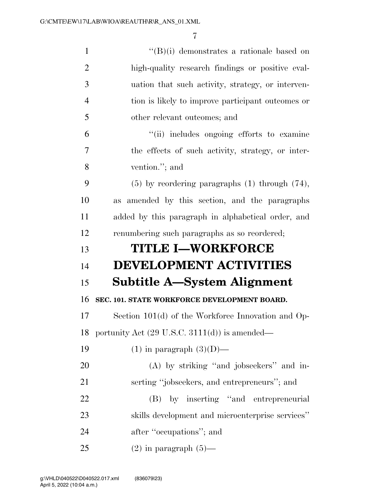| $\mathbf{1}$   | $\lq\lq(B)(i)$ demonstrates a rationale based on         |
|----------------|----------------------------------------------------------|
| $\overline{2}$ | high-quality research findings or positive eval-         |
| 3              | uation that such activity, strategy, or interven-        |
| $\overline{4}$ | tion is likely to improve participant outcomes or        |
| 5              | other relevant outcomes; and                             |
| 6              | "(ii) includes ongoing efforts to examine                |
| 7              | the effects of such activity, strategy, or inter-        |
| 8              | vention."; and                                           |
| 9              | $(5)$ by reordering paragraphs $(1)$ through $(74)$ ,    |
| 10             | amended by this section, and the paragraphs<br>as        |
| 11             | added by this paragraph in alphabetical order, and       |
| 12             | renumbering such paragraphs as so reordered;             |
| 13             | <b>TITLE I-WORKFORCE</b>                                 |
|                |                                                          |
| 14             | <b>DEVELOPMENT ACTIVITIES</b>                            |
| 15             | Subtitle A—System Alignment                              |
| 16             | SEC. 101. STATE WORKFORCE DEVELOPMENT BOARD.             |
| 17             | Section $101(d)$ of the Workforce Innovation and Op-     |
| 18             | portunity Act $(29 \text{ U.S.C. } 3111(d))$ is amended— |
| 19             | $(1)$ in paragraph $(3)(D)$ —                            |
| 20             | (A) by striking "and jobseekers" and in-                 |
| 21             | serting "jobseekers, and entrepreneurs"; and             |
| 22             | (B) by inserting "and entrepreneurial                    |
| 23             | skills development and microenterprise services"         |
| 24             | after "occupations"; and                                 |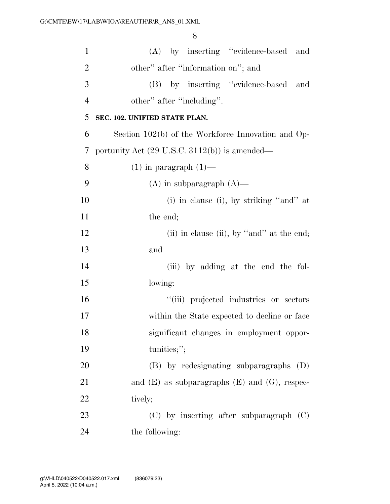| $\mathbf{1}$   | (A) by inserting "evidence-based and                            |
|----------------|-----------------------------------------------------------------|
| $\overline{2}$ | other" after "information on"; and                              |
| 3              | (B) by inserting "evidence-based<br>and                         |
| $\overline{4}$ | other" after "including".                                       |
| 5              | SEC. 102. UNIFIED STATE PLAN.                                   |
| 6              | Section 102(b) of the Workforce Innovation and Op-              |
| 7              | portunity Act $(29 \text{ U.S.C. } 3112(\text{b}))$ is amended— |
| 8              | $(1)$ in paragraph $(1)$ —                                      |
| 9              | $(A)$ in subparagraph $(A)$ —                                   |
| 10             | $(i)$ in clause $(i)$ , by striking "and" at                    |
| 11             | the end;                                                        |
| 12             | (ii) in clause (ii), by "and" at the end;                       |
| 13             | and                                                             |
| 14             | (iii) by adding at the end the fol-                             |
| 15             | lowing:                                                         |
| 16             | "(iii) projected industries or sectors                          |
| 17             | within the State expected to decline or face                    |
| 18             | significant changes in employment oppor-                        |
| 19             | tunities;";                                                     |
| 20             | $(B)$ by redesignating subparagraphs $(D)$                      |
| 21             | and $(E)$ as subparagraphs $(E)$ and $(G)$ , respec-            |
| 22             | tively;                                                         |
| 23             | $(C)$ by inserting after subparagraph $(C)$                     |
| 24             | the following:                                                  |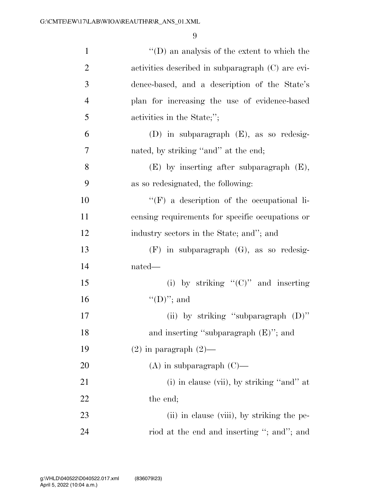| $\mathbf{1}$   | $\lq\lq$ (D) an analysis of the extent to which the |
|----------------|-----------------------------------------------------|
| $\overline{2}$ | activities described in subparagraph (C) are evi-   |
| 3              | dence-based, and a description of the State's       |
| $\overline{4}$ | plan for increasing the use of evidence-based       |
| 5              | activities in the State;";                          |
| 6              | (D) in subparagraph $(E)$ , as so redesig-          |
| $\overline{7}$ | nated, by striking "and" at the end;                |
| 8              | $(E)$ by inserting after subparagraph $(E)$ ,       |
| 9              | as so redesignated, the following:                  |
| 10             | "(F) a description of the occupational li-          |
| 11             | censing requirements for specific occupations or    |
| 12             | industry sectors in the State; and"; and            |
| 13             | $(F)$ in subparagraph $(G)$ , as so redesig-        |
| 14             | nated—                                              |
| 15             | (i) by striking " $(C)$ " and inserting             |
| 16             | $\lq\lq$ (D)''; and                                 |
| 17             | (ii) by striking "subparagraph $(D)$ "              |
| 18             | and inserting "subparagraph (E)"; and               |
| 19             | $(2)$ in paragraph $(2)$ —                          |
| 20             | $(A)$ in subparagraph $(C)$ —                       |
| 21             | (i) in clause (vii), by striking "and" at           |
| 22             | the end;                                            |
| 23             | (ii) in clause (viii), by striking the pe-          |
| 24             | riod at the end and inserting "; and"; and          |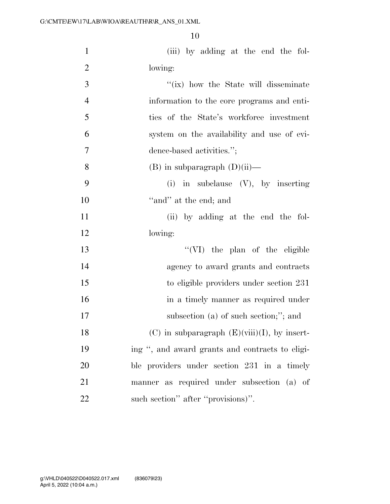| $\mathbf{1}$   | (iii) by adding at the end the fol-               |
|----------------|---------------------------------------------------|
| $\overline{2}$ | lowing:                                           |
| 3              | "(ix) how the State will disseminate              |
| $\overline{4}$ | information to the core programs and enti-        |
| 5              | ties of the State's workforce investment          |
| 6              | system on the availability and use of evi-        |
| $\overline{7}$ | dence-based activities.";                         |
| 8              | $(B)$ in subparagraph $(D)(ii)$ —                 |
| 9              | (i) in subclause $(V)$ , by inserting             |
| 10             | "and" at the end; and                             |
| 11             | (ii) by adding at the end the fol-                |
| 12             | lowing:                                           |
| 13             | "(VI) the plan of the eligible                    |
| 14             | agency to award grants and contracts              |
| 15             | to eligible providers under section 231           |
| 16             | in a timely manner as required under              |
| 17             | subsection (a) of such section;"; and             |
| 18             | $(C)$ in subparagraph $(E)(viii)(I)$ , by insert- |
| 19             | ing ", and award grants and contracts to eligi-   |
| 20             | ble providers under section 231 in a timely       |
| 21             | manner as required under subsection (a) of        |

22 such section" after "provisions)".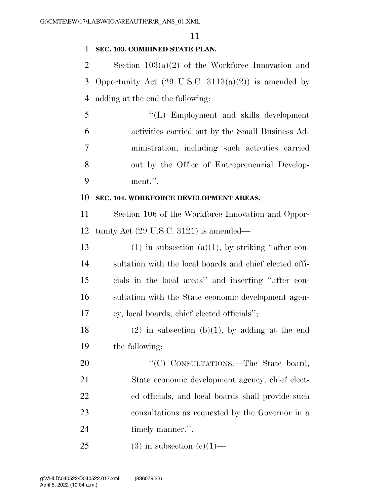# **SEC. 103. COMBINED STATE PLAN.**

 Section 103(a)(2) of the Workforce Innovation and 3 Opportunity Act  $(29 \text{ U.S.C. } 3113(a)(2))$  is amended by adding at the end the following:

 ''(L) Employment and skills development activities carried out by the Small Business Ad- ministration, including such activities carried out by the Office of Entrepreneurial Develop-ment.''.

# **SEC. 104. WORKFORCE DEVELOPMENT AREAS.**

 Section 106 of the Workforce Innovation and Oppor-tunity Act (29 U.S.C. 3121) is amended—

13 (1) in subsection (a)(1), by striking "after con- sultation with the local boards and chief elected offi- cials in the local areas'' and inserting ''after con- sultation with the State economic development agen-cy, local boards, chief elected officials'';

18 (2) in subsection (b)(1), by adding at the end the following:

20 "'(C) CONSULTATIONS.—The State board, State economic development agency, chief elect- ed officials, and local boards shall provide such consultations as requested by the Governor in a 24 timely manner.".

25 (3) in subsection  $(c)(1)$ —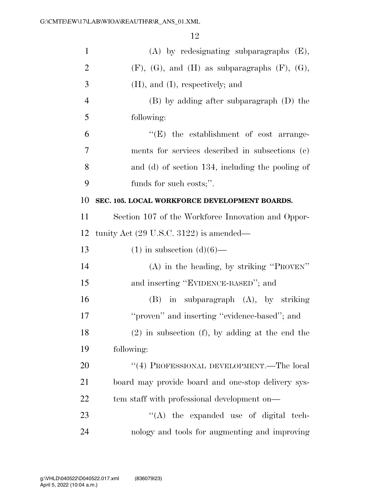| $\mathbf{1}$   | $(A)$ by redesignating subparagraphs $(E)$ ,               |
|----------------|------------------------------------------------------------|
| $\overline{2}$ | $(F)$ , $(G)$ , and $(H)$ as subparagraphs $(F)$ , $(G)$ , |
| 3              | $(H)$ , and $(I)$ , respectively; and                      |
| $\overline{4}$ | $(B)$ by adding after subparagraph $(D)$ the               |
| 5              | following:                                                 |
| 6              | "(E) the establishment of cost arrange-                    |
| 7              | ments for services described in subsections (c)            |
| 8              | and (d) of section 134, including the pooling of           |
| 9              | funds for such costs;".                                    |
| 10             | SEC. 105. LOCAL WORKFORCE DEVELOPMENT BOARDS.              |
| 11             | Section 107 of the Workforce Innovation and Oppor-         |
| 12             | tunity Act (29 U.S.C. 3122) is amended—                    |
| 13             | $(1)$ in subsection $(d)(6)$ —                             |
| 14             | $(A)$ in the heading, by striking "PROVEN"                 |
| 15             | and inserting "EVIDENCE-BASED"; and                        |
| 16             | $(B)$ in subparagraph $(A)$ , by striking                  |
| 17             | "proven" and inserting "evidence-based"; and               |
| 18             | $(2)$ in subsection $(f)$ , by adding at the end the       |
| 19             | following:                                                 |
| 20             | "(4) PROFESSIONAL DEVELOPMENT.—The local                   |
| 21             | board may provide board and one-stop delivery sys-         |
| 22             | tem staff with professional development on—                |
| 23             | $\lq\lq$ the expanded use of digital tech-                 |
| 24             | nology and tools for augmenting and improving              |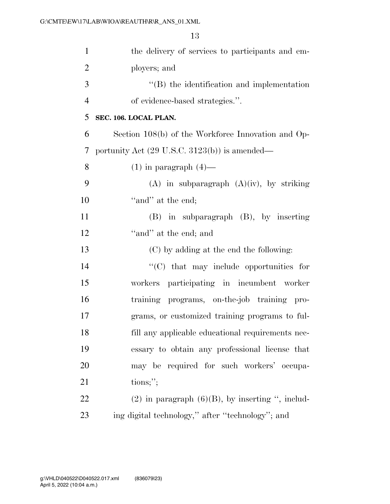| $\mathbf{1}$   | the delivery of services to participants and em-         |
|----------------|----------------------------------------------------------|
| $\overline{2}$ | ployers; and                                             |
| 3              | $\lq\lq$ the identification and implementation           |
| $\overline{4}$ | of evidence-based strategies.".                          |
| 5              | SEC. 106. LOCAL PLAN.                                    |
| 6              | Section 108(b) of the Workforce Innovation and Op-       |
| 7              | portunity Act $(29 \text{ U.S.C. } 3123(b))$ is amended— |
| 8              | $(1)$ in paragraph $(4)$ —                               |
| 9              | $(A)$ in subparagraph $(A)(iv)$ , by striking            |
| 10             | "and" at the end;                                        |
| 11             | $(B)$ in subparagraph $(B)$ , by inserting               |
| 12             | "and" at the end; and                                    |
| 13             | (C) by adding at the end the following:                  |
| 14             | $\cdot$ (C) that may include opportunities for           |
| 15             | workers participating in incumbent worker                |
| 16             | training programs, on-the-job training pro-              |
| 17             | grams, or customized training programs to ful-           |
| 18             | fill any applicable educational requirements nec-        |
| 19             | essary to obtain any professional license that           |
| 20             | may be required for such workers' occupa-                |
| 21             | tions;                                                   |
| 22             | $(2)$ in paragraph $(6)(B)$ , by inserting ", includ-    |
| 23             | ing digital technology," after "technology"; and         |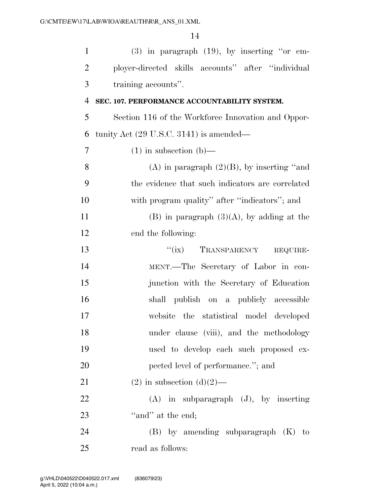| $\mathbf{1}$   | $(3)$ in paragraph $(19)$ , by inserting "or em-   |
|----------------|----------------------------------------------------|
| $\mathbf{2}$   | ployer-directed skills accounts" after "individual |
| 3              | training accounts".                                |
| $\overline{4}$ | SEC. 107. PERFORMANCE ACCOUNTABILITY SYSTEM.       |
| 5              | Section 116 of the Workforce Innovation and Oppor- |
| 6              | tunity Act $(29 \text{ U.S.C. } 3141)$ is amended— |
| $\tau$         | $(1)$ in subsection $(b)$ —                        |
| 8              | $(A)$ in paragraph $(2)(B)$ , by inserting "and    |
| 9              | the evidence that such indicators are correlated   |
| 10             | with program quality" after "indicators"; and      |
| 11             | $(B)$ in paragraph $(3)(A)$ , by adding at the     |
| 12             | end the following:                                 |
| 13             | "(ix) TRANSPARENCY<br>REQUIRE-                     |
| 14             | MENT.—The Secretary of Labor in con-               |
| 15             | junction with the Secretary of Education           |
| 16             | shall publish on a publicly accessible             |
| 17             | website the statistical model developed            |
| 18             | under clause (viii), and the methodology           |
| 19             | used to develop each such proposed ex-             |
| 20             | pected level of performance."; and                 |
| 21             | $(2)$ in subsection $(d)(2)$ —                     |
| 22             | $(A)$ in subparagraph $(J)$ , by inserting         |
| 23             | "and" at the end;                                  |
| 24             | $(B)$ by amending subparagraph $(K)$ to            |
| 25             | read as follows:                                   |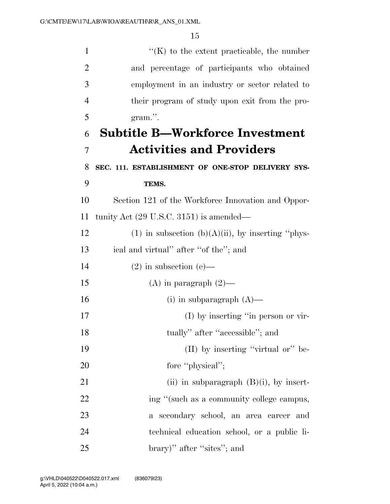| $\mathbf{1}$   | $\lq\lq$ (K) to the extent practicable, the number    |
|----------------|-------------------------------------------------------|
| $\overline{2}$ | and percentage of participants who obtained           |
| 3              | employment in an industry or sector related to        |
| $\overline{4}$ | their program of study upon exit from the pro-        |
| 5              | gram.".                                               |
| 6              | <b>Subtitle B-Workforce Investment</b>                |
| $\overline{7}$ | <b>Activities and Providers</b>                       |
| 8              | SEC. 111. ESTABLISHMENT OF ONE-STOP DELIVERY SYS-     |
| 9              | TEMS.                                                 |
| 10             | Section 121 of the Workforce Innovation and Oppor-    |
| 11             | tunity Act $(29 \text{ U.S.C. } 3151)$ is amended—    |
| 12             | (1) in subsection (b) $(A)(ii)$ , by inserting "phys- |
| 13             | ical and virtual" after "of the"; and                 |
| 14             | $(2)$ in subsection $(e)$ —                           |
| 15             | (A) in paragraph $(2)$ —                              |
| 16             | (i) in subparagraph $(A)$ —                           |
| 17             | (I) by inserting "in person or vir-                   |
| 18             | tually" after "accessible"; and                       |
| 19             | (II) by inserting "virtual or" be-                    |
| 20             | fore "physical";                                      |
| 21             | (ii) in subparagraph $(B)(i)$ , by insert-            |
| 22             | ing "(such as a community college campus,             |
| 23             | a secondary school, an area career and                |
| 24             | technical education school, or a public li-           |
| 25             | brary)" after "sites"; and                            |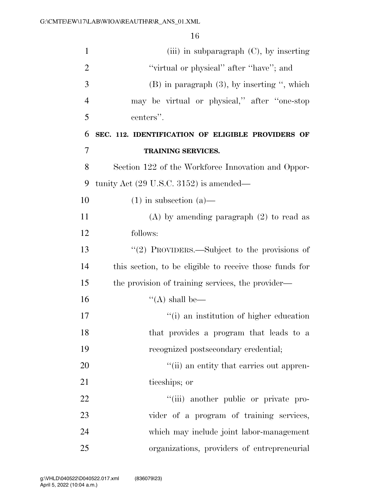| $\mathbf{1}$   | (iii) in subparagraph $(C)$ , by inserting              |
|----------------|---------------------------------------------------------|
| $\overline{2}$ | "virtual or physical" after "have"; and                 |
| 3              | $(B)$ in paragraph $(3)$ , by inserting ", which        |
| $\overline{4}$ | may be virtual or physical," after "one-stop            |
| 5              | centers".                                               |
| 6              | SEC. 112. IDENTIFICATION OF ELIGIBLE PROVIDERS OF       |
| 7              | <b>TRAINING SERVICES.</b>                               |
| 8              | Section 122 of the Workforce Innovation and Oppor-      |
| 9              | tunity Act $(29 \text{ U.S.C. } 3152)$ is amended—      |
| 10             | $(1)$ in subsection $(a)$ —                             |
| 11             | $(A)$ by amending paragraph $(2)$ to read as            |
| 12             | follows:                                                |
| 13             | "(2) PROVIDERS.—Subject to the provisions of            |
| 14             | this section, to be eligible to receive those funds for |
| 15             | the provision of training services, the provider—       |
| 16             | "(A) shall be—                                          |
| 17             | "(i) an institution of higher education                 |
| 18             | that provides a program that leads to a                 |
| 19             | recognized postsecondary credential;                    |
| 20             | "(ii) an entity that carries out appren-                |
| 21             | ticeships; or                                           |
| 22             | "(iii) another public or private pro-                   |
| 23             | vider of a program of training services,                |
| 24             | which may include joint labor-management                |
| 25             | organizations, providers of entrepreneurial             |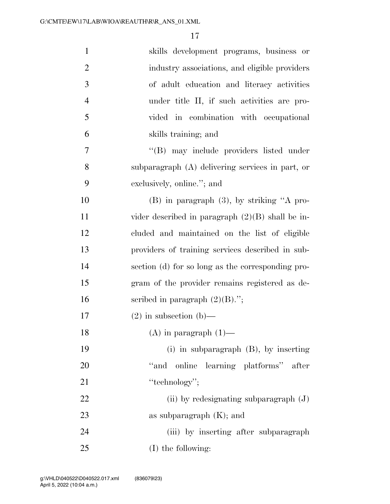| $\mathbf{1}$   | skills development programs, business or           |
|----------------|----------------------------------------------------|
| $\overline{2}$ | industry associations, and eligible providers      |
| 3              | of adult education and literacy activities         |
| $\overline{4}$ | under title II, if such activities are pro-        |
| 5              | vided in combination with occupational             |
| 6              | skills training; and                               |
| 7              | "(B) may include providers listed under            |
| 8              | subparagraph $(A)$ delivering services in part, or |
| 9              | exclusively, online."; and                         |
| 10             | $(B)$ in paragraph $(3)$ , by striking "A pro-     |
| 11             | vider described in paragraph $(2)(B)$ shall be in- |
| 12             | cluded and maintained on the list of eligible      |
| 13             | providers of training services described in sub-   |
| 14             | section (d) for so long as the corresponding pro-  |
| 15             | gram of the provider remains registered as de-     |
| 16             | scribed in paragraph $(2)(B)$ .";                  |
| 17             | $(2)$ in subsection $(b)$ —                        |
| 18             | $(A)$ in paragraph $(1)$ —                         |
| 19             | $(i)$ in subparagraph $(B)$ , by inserting         |
| 20             | online learning platforms" after<br>"and           |
| 21             | "technology";                                      |
| 22             | (ii) by redesignating subparagraph $(J)$           |
| 23             | as subparagraph $(K)$ ; and                        |
| 24             | (iii) by inserting after subparagraph              |
| 25             | (I) the following:                                 |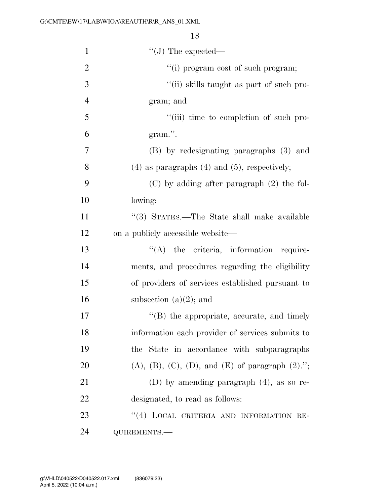| $\mathbf{1}$   | $\lq\lq (J)$ The expected—                           |
|----------------|------------------------------------------------------|
| $\overline{2}$ | "(i) program cost of such program;                   |
| 3              | "(ii) skills taught as part of such pro-             |
| $\overline{4}$ | gram; and                                            |
| 5              | "(iii) time to completion of such pro-               |
| 6              | gram.".                                              |
| 7              | (B) by redesignating paragraphs (3) and              |
| 8              | $(4)$ as paragraphs $(4)$ and $(5)$ , respectively;  |
| 9              | $(C)$ by adding after paragraph $(2)$ the fol-       |
| 10             | lowing:                                              |
| 11             | "(3) STATES.—The State shall make available          |
| 12             | on a publicly accessible website—                    |
| 13             | $\lq\lq$ the criteria, information require-          |
| 14             | ments, and procedures regarding the eligibility      |
| 15             | of providers of services established pursuant to     |
| 16             | subsection $(a)(2)$ ; and                            |
| 17             | $\lq\lq$ (B) the appropriate, accurate, and timely   |
| 18             | information each provider of services submits to     |
| 19             | the State in accordance with subparagraphs           |
| 20             | $(A), (B), (C), (D), and (E)$ of paragraph $(2)$ ."; |
| 21             | (D) by amending paragraph $(4)$ , as so re-          |
| 22             | designated, to read as follows:                      |
| 23             | "(4) LOCAL CRITERIA AND INFORMATION RE-              |
| 24             | QUIREMENTS.-                                         |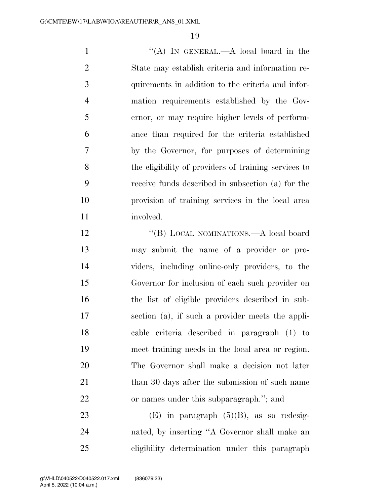1 ''(A) In GENERAL.—A local board in the State may establish criteria and information re- quirements in addition to the criteria and infor- mation requirements established by the Gov- ernor, or may require higher levels of perform- ance than required for the criteria established by the Governor, for purposes of determining the eligibility of providers of training services to receive funds described in subsection (a) for the provision of training services in the local area involved.

12 "(B) LOCAL NOMINATIONS.—A local board may submit the name of a provider or pro- viders, including online-only providers, to the Governor for inclusion of each such provider on the list of eligible providers described in sub- section (a), if such a provider meets the appli- cable criteria described in paragraph (1) to meet training needs in the local area or region. The Governor shall make a decision not later 21 than 30 days after the submission of such name or names under this subparagraph.''; and

23 (E) in paragraph  $(5)(B)$ , as so redesig- nated, by inserting ''A Governor shall make an eligibility determination under this paragraph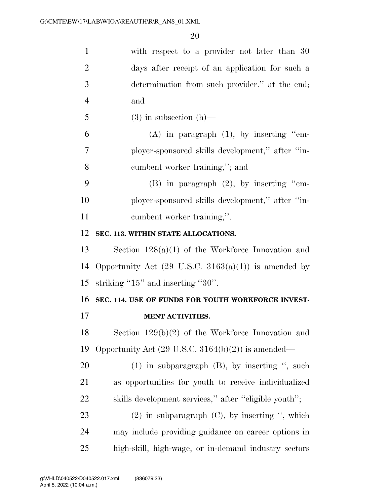| $\mathbf{1}$   | with respect to a provider not later than 30                    |
|----------------|-----------------------------------------------------------------|
| $\overline{2}$ | days after receipt of an application for such a                 |
| 3              | determination from such provider." at the end;                  |
| $\overline{4}$ | and                                                             |
| 5              | $(3)$ in subsection $(h)$ —                                     |
| 6              | $(A)$ in paragraph $(1)$ , by inserting "em-                    |
| 7              | ployer-sponsored skills development," after "in-                |
| 8              | cumbent worker training,"; and                                  |
| 9              | $(B)$ in paragraph $(2)$ , by inserting "em-                    |
| 10             | ployer-sponsored skills development," after "in-                |
| 11             | cumbent worker training,".                                      |
| 12             | SEC. 113. WITHIN STATE ALLOCATIONS.                             |
| 13             | Section $128(a)(1)$ of the Workforce Innovation and             |
| 14             | Opportunity Act $(29 \text{ U.S.C. } 3163(a)(1))$ is amended by |
| 15             | striking " $15$ " and inserting " $30$ ".                       |
| 16             | SEC. 114. USE OF FUNDS FOR YOUTH WORKFORCE INVEST-              |
| 17             | <b>MENT ACTIVITIES.</b>                                         |
| 18             | Section $129(b)(2)$ of the Workforce Innovation and             |
| 19             | Opportunity Act $(29 \text{ U.S.C. } 3164(b)(2))$ is amended—   |
| 20             | $(1)$ in subparagraph $(B)$ , by inserting ", such              |
| 21             | as opportunities for youth to receive individualized            |
| 22             | skills development services," after "eligible youth";           |
| 23             | $(2)$ in subparagraph $(C)$ , by inserting ", which             |
| 24             | may include providing guidance on career options in             |
| 25             | high-skill, high-wage, or in-demand industry sectors            |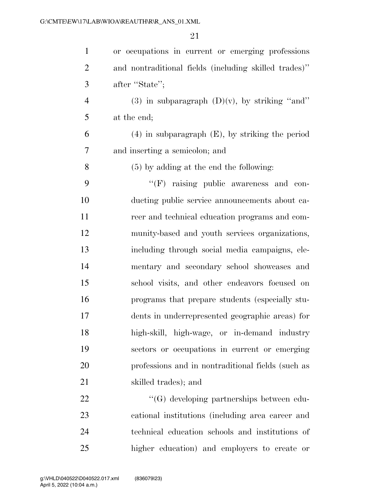| $\mathbf{1}$   | or occupations in current or emerging professions     |
|----------------|-------------------------------------------------------|
| $\overline{2}$ | and nontraditional fields (including skilled trades)" |
| 3              | after "State";                                        |
| $\overline{4}$ | (3) in subparagraph $(D)(v)$ , by striking "and"      |
| 5              | at the end;                                           |
| 6              | $(4)$ in subparagraph $(E)$ , by striking the period  |
| 7              | and inserting a semicolon; and                        |
| 8              | $(5)$ by adding at the end the following:             |
| 9              | "(F) raising public awareness and con-                |
| 10             | ducting public service announcements about ca-        |
| 11             | reer and technical education programs and com-        |
| 12             | munity-based and youth services organizations,        |
| 13             | including through social media campaigns, ele-        |
| 14             | mentary and secondary school showcases and            |
| 15             | school visits, and other endeavors focused on         |
| 16             | programs that prepare students (especially stu-       |
| 17             | dents in underrepresented geographic areas) for       |
| 18             | high-skill, high-wage, or in-demand industry          |
| 19             | sectors or occupations in current or emerging         |
| 20             | professions and in nontraditional fields (such as     |
| 21             | skilled trades); and                                  |
| 22             | "(G) developing partnerships between edu-             |
| 23             | cational institutions (including area career and      |
| 24             | technical education schools and institutions of       |
| $25\,$         | higher education) and employers to create or          |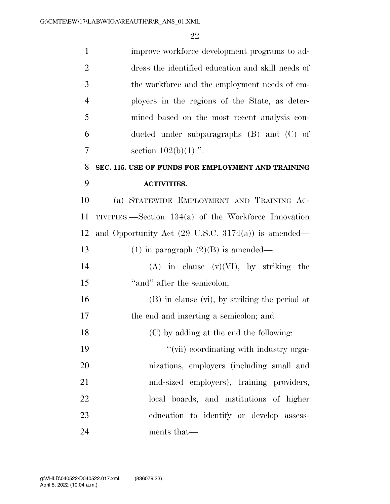| $\mathbf{1}$   | improve workforce development programs to ad-                  |
|----------------|----------------------------------------------------------------|
| $\overline{2}$ | dress the identified education and skill needs of              |
| 3              | the workforce and the employment needs of em-                  |
| $\overline{4}$ | ployers in the regions of the State, as deter-                 |
| 5              | mined based on the most recent analysis con-                   |
| 6              | ducted under subparagraphs $(B)$ and $(C)$ of                  |
| $\overline{7}$ | section $102(b)(1)$ .".                                        |
| 8              | SEC. 115. USE OF FUNDS FOR EMPLOYMENT AND TRAINING             |
| 9              | <b>ACTIVITIES.</b>                                             |
| 10             | (a) STATEWIDE EMPLOYMENT AND TRAINING AC-                      |
| 11             | TIVITIES.—Section $134(a)$ of the Workforce Innovation         |
| 12             | and Opportunity Act $(29 \text{ U.S.C. } 3174(a))$ is amended— |
| 13             | $(1)$ in paragraph $(2)(B)$ is amended—                        |
| 14             | $(A)$ in clause $(v)(VI)$ , by striking<br>the                 |
| 15             | "and" after the semicolon;                                     |
| 16             | $(B)$ in clause $(vi)$ , by striking the period at             |
| 17             | the end and inserting a semicolon; and                         |
| 18             | (C) by adding at the end the following:                        |
| 19             | "(vii) coordinating with industry orga-                        |
| 20             | nizations, employers (including small and                      |
| 21             | mid-sized employers), training providers,                      |
| 22             | local boards, and institutions of higher                       |
| 23             | education to identify or develop assess-                       |
| 24             | ments that—                                                    |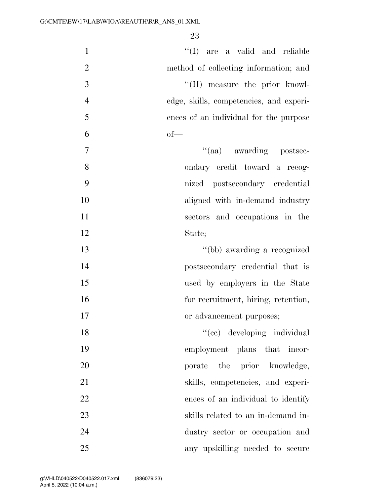| "(I) are a valid and reliable<br>$\mathbf{1}$             |
|-----------------------------------------------------------|
| $\mathbf{2}$<br>method of collecting information; and     |
| $\overline{3}$<br>"(II) measure the prior knowl-          |
| $\overline{4}$<br>edge, skills, competencies, and experi- |
| 5<br>ences of an individual for the purpose               |
| 6<br>$of$ —                                               |
| $\tau$<br>"(aa) awarding postsec-                         |
| 8<br>ondary credit toward a recog-                        |
| 9<br>nized postsecondary credential                       |
| 10<br>aligned with in-demand industry                     |
| 11<br>sectors and occupations in the                      |
| 12<br>State;                                              |
| "(bb) awarding a recognized<br>13                         |
| 14<br>postsecondary credential that is                    |
| 15<br>used by employers in the State                      |
| 16<br>for recruitment, hiring, retention,                 |
| 17<br>or advancement purposes;                            |
| "(ee) developing individual<br>18                         |
| 19<br>employment plans that incor-                        |
| 20<br>porate the prior knowledge,                         |
| 21<br>skills, competencies, and experi-                   |
| 22<br>ences of an individual to identify                  |
| 23<br>skills related to an in-demand in-                  |
| 24<br>dustry sector or occupation and                     |
| 25<br>any upskilling needed to secure                     |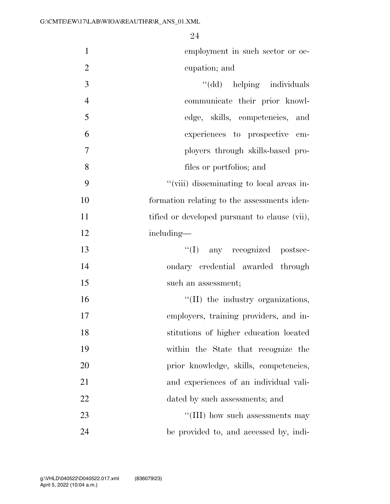| $\mathbf{1}$   | employment in such sector or oc-              |
|----------------|-----------------------------------------------|
| $\mathbf{2}$   | cupation; and                                 |
| 3              | "(dd) helping individuals                     |
| $\overline{4}$ | communicate their prior knowl-                |
| 5              | edge, skills, competencies, and               |
| 6              | experiences to prospective em-                |
| $\overline{7}$ | ployers through skills-based pro-             |
| 8              | files or portfolios; and                      |
| 9              | "(viii) disseminating to local areas in-      |
| 10             | formation relating to the assessments iden-   |
| 11             | tified or developed pursuant to clause (vii), |
| 12             | including—                                    |
| 13             | "(I) any recognized postsec-                  |
| 14             | ondary credential awarded through             |
| 15             | such an assessment;                           |
| 16             | "(II) the industry organizations,             |
| 17             | employers, training providers, and in-        |
| 18             | stitutions of higher education located        |
| 19             | within the State that recognize the           |
| 20             | prior knowledge, skills, competencies,        |
| 21             | and experiences of an individual vali-        |
| 22             | dated by such assessments; and                |
| 23             | "(III) how such assessments may               |
| 24             | be provided to, and accessed by, indi-        |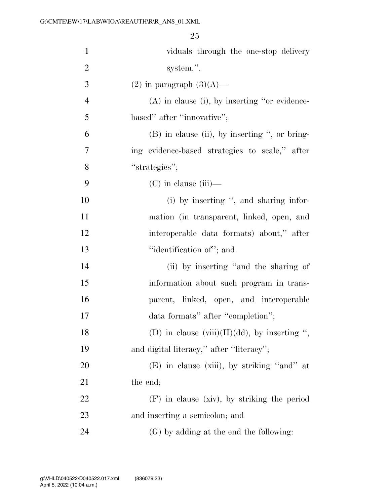| $\mathbf{1}$   | viduals through the one-stop delivery            |
|----------------|--------------------------------------------------|
| $\overline{2}$ | system.".                                        |
| 3              | $(2)$ in paragraph $(3)(A)$ —                    |
| $\overline{4}$ | $(A)$ in clause (i), by inserting "or evidence-  |
| 5              | based" after "innovative";                       |
| 6              | $(B)$ in clause (ii), by inserting ", or bring-  |
| $\tau$         | ing evidence-based strategies to scale," after   |
| 8              | "strategies";                                    |
| 9              | $(C)$ in clause (iii)—                           |
| 10             | (i) by inserting ", and sharing infor-           |
| 11             | mation (in transparent, linked, open, and        |
| 12             | interoperable data formats) about," after        |
| 13             | "identification of"; and                         |
| 14             | (ii) by inserting "and the sharing of            |
| 15             | information about such program in trans-         |
| 16             | parent, linked, open, and interoperable          |
| 17             | data formats" after "completion";                |
| 18             | (D) in clause $(viii)(II)(dd)$ , by inserting ", |
| 19             | and digital literacy," after "literacy";         |
| 20             | (E) in clause (xiii), by striking "and" at       |
| 21             | the end;                                         |
| 22             | $(F)$ in clause (xiv), by striking the period    |
| 23             | and inserting a semicolon; and                   |
| 24             | (G) by adding at the end the following:          |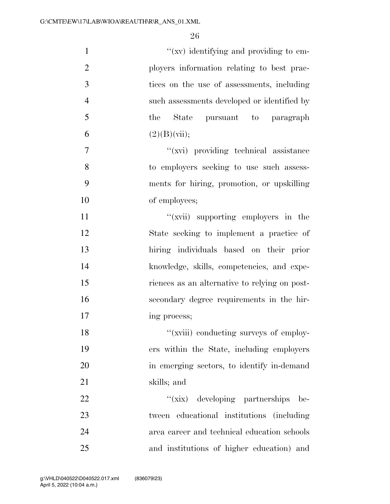| $\mathbf{1}$   | $\mathcal{L}(xv)$ identifying and providing to em- |
|----------------|----------------------------------------------------|
| $\overline{2}$ | ployers information relating to best prac-         |
| 3              | tices on the use of assessments, including         |
| $\overline{4}$ | such assessments developed or identified by        |
| 5              | State pursuant to paragraph<br>the                 |
| 6              | (2)(B)(vii);                                       |
| 7              | "(xvi) providing technical assistance              |
| 8              | to employers seeking to use such assess-           |
| 9              | ments for hiring, promotion, or upskilling         |
| 10             | of employees;                                      |
| 11             | "(xvii) supporting employers in the                |
| 12             | State seeking to implement a practice of           |
| 13             | hiring individuals based on their prior            |
| 14             | knowledge, skills, competencies, and expe-         |
| 15             | riences as an alternative to relying on post-      |
| 16             | secondary degree requirements in the hir-          |
| 17             | ing process;                                       |
| 18             | "(xviii) conducting surveys of employ-             |
| 19             | ers within the State, including employers          |
| 20             | in emerging sectors, to identify in-demand         |
| 21             | skills; and                                        |
| 22             | "(xix) developing partnerships<br>be-              |
| 23             | tween educational institutions (including          |
| 24             | area career and technical education schools        |
| 25             | and institutions of higher education) and          |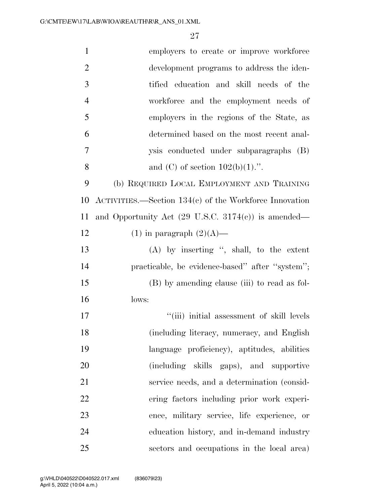| $\mathbf{1}$   | employers to create or improve workforce                       |
|----------------|----------------------------------------------------------------|
| $\overline{2}$ | development programs to address the iden-                      |
| 3              | tified education and skill needs of the                        |
| $\overline{4}$ | workforce and the employment needs of                          |
| 5              | employers in the regions of the State, as                      |
| 6              | determined based on the most recent anal-                      |
| $\overline{7}$ | ysis conducted under subparagraphs (B)                         |
| 8              | and (C) of section $102(b)(1)$ .".                             |
| 9              | (b) REQUIRED LOCAL EMPLOYMENT AND TRAINING                     |
| 10             | $ACTIVITIES. - Section 134(c)$ of the Workforce Innovation     |
| 11             | and Opportunity Act $(29 \text{ U.S.C. } 3174(c))$ is amended— |
| 12             | $(1)$ in paragraph $(2)(A)$ —                                  |
| 13             | $(A)$ by inserting ", shall, to the extent                     |
| 14             | practicable, be evidence-based" after "system";                |
| 15             | (B) by amending clause (iii) to read as fol-                   |
| 16             | lows:                                                          |
| 17             | "(iii) initial assessment of skill levels                      |
| 18             | (including literacy, numeracy, and English                     |
| 19             | language proficiency), aptitudes, abilities                    |
| 20             | (including skills gaps), and supportive                        |
| 21             | service needs, and a determination (consid-                    |
| 22             | ering factors including prior work experi-                     |
| 23             | ence, military service, life experience, or                    |
| 24             | education history, and in-demand industry                      |
| 25             | sectors and occupations in the local area)                     |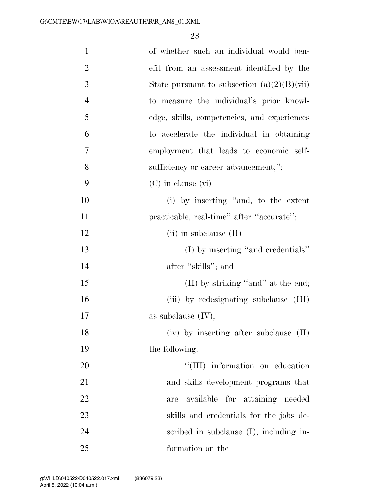| $\mathbf{1}$   | of whether such an individual would ben-                                 |
|----------------|--------------------------------------------------------------------------|
| $\overline{2}$ | efit from an assessment identified by the                                |
| 3              | State pursuant to subsection $(a)(2)(B)(\n \n \tilde{\text{v}}\text{i})$ |
| $\overline{4}$ | to measure the individual's prior knowl-                                 |
| 5              | edge, skills, competencies, and experiences                              |
| 6              | to accelerate the individual in obtaining                                |
| $\overline{7}$ | employment that leads to economic self-                                  |
| 8              | sufficiency or career advancement;";                                     |
| 9              | $(C)$ in clause $(vi)$ —                                                 |
| 10             | (i) by inserting "and, to the extent                                     |
| 11             | practicable, real-time" after "accurate";                                |
| 12             | (ii) in subclause $(II)$ —                                               |
| 13             | $(I)$ by inserting "and credentials"                                     |
| 14             | after "skills"; and                                                      |
| 15             | (II) by striking "and" at the end;                                       |
| 16             | (iii) by redesignating subclause (III)                                   |
| 17             | as subclause $(IV);$                                                     |
| 18             | (iv) by inserting after subclause (II)                                   |
| 19             | the following:                                                           |
| 20             | "(III) information on education                                          |
| 21             | and skills development programs that                                     |
| 22             | available for attaining needed<br>are                                    |
| 23             | skills and credentials for the jobs de-                                  |
| 24             | scribed in subclause (I), including in-                                  |
| 25             | formation on the-                                                        |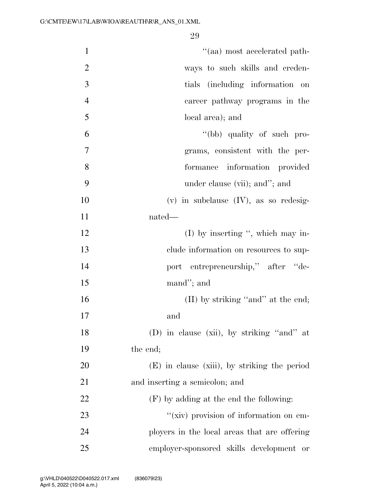| $\mathbf{1}$   | $``(aa)$ most accelerated path-              |
|----------------|----------------------------------------------|
| $\overline{2}$ | ways to such skills and creden-              |
| 3              | tials (including information<br>on           |
| $\overline{4}$ | career pathway programs in the               |
| 5              | local area); and                             |
| 6              | "(bb) quality of such pro-                   |
| 7              | grams, consistent with the per-              |
| 8              | formance information provided                |
| 9              | under clause (vii); and"; and                |
| 10             | $(v)$ in subclause $(IV)$ , as so redesig-   |
| 11             | nated—                                       |
| 12             | $(I)$ by inserting ", which may in-          |
| 13             | clude information on resources to sup-       |
| 14             | port entrepreneurship," after "de-           |
| 15             | mand"; and                                   |
| 16             | (II) by striking "and" at the end;           |
| 17             | and                                          |
| 18             | (D) in clause (xii), by striking "and" at    |
| 19             | the end;                                     |
| 20             | (E) in clause (xiii), by striking the period |
| 21             | and inserting a semicolon; and               |
| 22             | (F) by adding at the end the following:      |
| 23             | "(xiv) provision of information on em-       |
| 24             | ployers in the local areas that are offering |
| 25             | employer-sponsored skills development or     |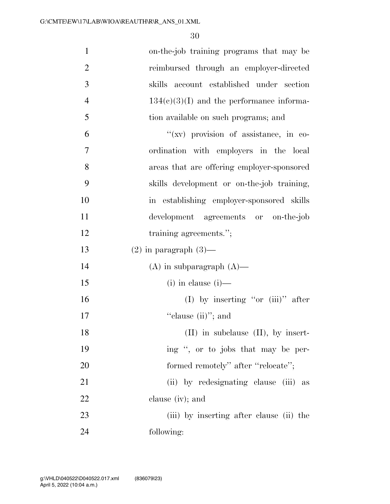| $\mathbf{1}$   | on-the-job training programs that may be    |
|----------------|---------------------------------------------|
| $\overline{2}$ | reimbursed through an employer-directed     |
| 3              | account established under section<br>skills |
| $\overline{4}$ | $134(c)(3)(I)$ and the performance informa- |
| 5              | tion available on such programs; and        |
| 6              | "(xv) provision of assistance, in co-       |
| $\overline{7}$ | ordination with employers in the local      |
| 8              | areas that are offering employer-sponsored  |
| 9              | skills development or on-the-job training,  |
| 10             | in establishing employer-sponsored skills   |
| 11             | development agreements or on-the-job        |
| 12             | training agreements.";                      |
|                |                                             |
| 13             | $(2)$ in paragraph $(3)$ —                  |
| 14             | $(A)$ in subparagraph $(A)$ —               |
| 15             | $(i)$ in clause $(i)$ —                     |
| 16             | (I) by inserting "or $(iii)$ " after        |
| 17             | "clause $(ii)$ "; and                       |
| 18             | $(II)$ in subclause $(II)$ , by insert-     |
| 19             | ing ", or to jobs that may be per-          |
| 20             | formed remotely" after "relocate";          |
| 21             | (ii) by redesignating clause (iii) as       |
| 22             | clause $(iv)$ ; and                         |
| 23             | (iii) by inserting after clause (ii) the    |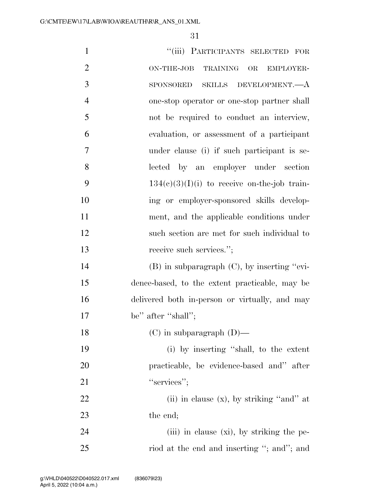| $\mathbf{1}$   | "(iii) PARTICIPANTS SELECTED FOR                       |
|----------------|--------------------------------------------------------|
| $\overline{2}$ | <b>TRAINING</b><br>ON-THE-JOB<br>$\rm OR$<br>EMPLOYER- |
| 3              | SKILLS DEVELOPMENT.- A<br><b>SPONSORED</b>             |
| $\overline{4}$ | one-stop operator or one-stop partner shall            |
| 5              | not be required to conduct an interview,               |
| 6              | evaluation, or assessment of a participant             |
| $\overline{7}$ | under clause (i) if such participant is se-            |
| 8              | lected by an employer under section                    |
| 9              | $134(c)(3)(I)(i)$ to receive on-the-job train-         |
| 10             | ing or employer-sponsored skills develop-              |
| 11             | ment, and the applicable conditions under              |
| 12             | such section are met for such individual to            |
| 13             | receive such services.";                               |
| 14             | $(B)$ in subparagraph $(C)$ , by inserting "evi-       |
| 15             | dence-based, to the extent practicable, may be         |
| 16             | delivered both in-person or virtually, and may         |
| 17             | be" after "shall";                                     |
| 18             | $(C)$ in subparagraph $(D)$ —                          |
| 19             | (i) by inserting "shall, to the extent                 |
| 20             | practicable, be evidence-based and" after              |
| 21             | "services";                                            |
| 22             | (ii) in clause $(x)$ , by striking "and" at            |
| 23             | the end;                                               |
| 24             | (iii) in clause $(xi)$ , by striking the pe-           |
| 25             | riod at the end and inserting "; and"; and             |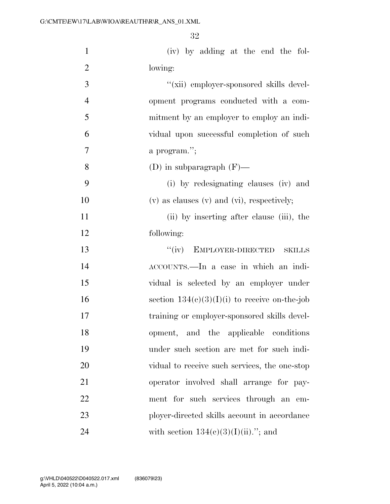| $\mathbf{1}$   | (iv) by adding at the end the fol-                |
|----------------|---------------------------------------------------|
| $\mathbf{2}$   | lowing:                                           |
| 3              | "(xii) employer-sponsored skills devel-           |
| $\overline{4}$ | opment programs conducted with a com-             |
| 5              | mitment by an employer to employ an indi-         |
| 6              | vidual upon successful completion of such         |
| 7              | a program.";                                      |
| 8              | (D) in subparagraph $(F)$ —                       |
| 9              | (i) by redesignating clauses (iv) and             |
| 10             | $(v)$ as clauses $(v)$ and $(vi)$ , respectively; |
| 11             | (ii) by inserting after clause (iii), the         |
| 12             | following:                                        |
| 13             | "(iv) EMPLOYER-DIRECTED<br><b>SKILLS</b>          |
| 14             | ACCOUNTS.—In a case in which an indi-             |
| 15             | vidual is selected by an employer under           |
| 16             | section $134(c)(3)(I)(i)$ to receive on-the-job   |
| 17             | training or employer-sponsored skills devel-      |
| 18             | opment, and the applicable conditions             |
| 19             | under such section are met for such indi-         |
| 20             | vidual to receive such services, the one-stop     |
| 21             | operator involved shall arrange for pay-          |
| 22             | ment for such services through an em-             |
| 23             | ployer-directed skills account in accordance      |
| 24             | with section $134(c)(3)(I)(ii)$ ."; and           |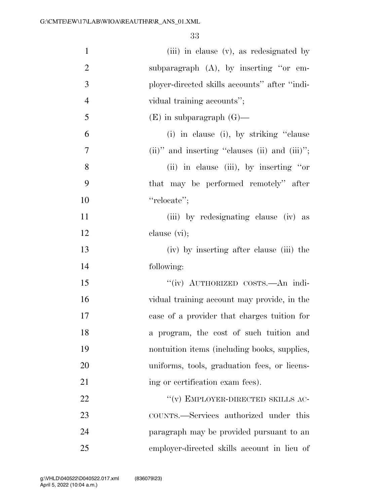| $\mathbf{1}$     | (iii) in clause (v), as redesignated by          |
|------------------|--------------------------------------------------|
| $\overline{2}$   | subparagraph $(A)$ , by inserting "or em-        |
| 3                | ployer-directed skills accounts" after "indi-    |
| $\overline{4}$   | vidual training accounts";                       |
| 5                | $(E)$ in subparagraph $(G)$ —                    |
| 6                | (i) in clause (i), by striking "clause           |
| $\boldsymbol{7}$ | $(ii)$ " and inserting "clauses (ii) and (iii)"; |
| 8                | (ii) in clause (iii), by inserting "or           |
| 9                | that may be performed remotely" after            |
| 10               | "relocate";                                      |
| 11               | (iii) by redesignating clause (iv) as            |
| 12               | clause $(vi)$ ;                                  |
| 13               | (iv) by inserting after clause (iii) the         |
| 14               | following:                                       |
| 15               | "(iv) AUTHORIZED COSTS. An indi-                 |
| 16               | vidual training account may provide, in the      |
| 17               | case of a provider that charges tuition for      |
| 18               | a program, the cost of such tuition and          |
| 19               | nontuition items (including books, supplies,     |
| 20               | uniforms, tools, graduation fees, or licens-     |
| 21               | ing or certification exam fees).                 |
| 22               | $``(v)$ EMPLOYER-DIRECTED SKILLS AC-             |
| 23               | COUNTS.—Services authorized under this           |
| 24               | paragraph may be provided pursuant to an         |
| 25               | employer-directed skills account in lieu of      |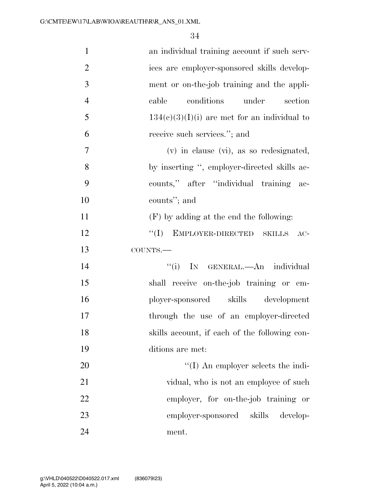| $\mathbf{1}$   | an individual training account if such serv-   |
|----------------|------------------------------------------------|
| $\overline{2}$ | ices are employer-sponsored skills develop-    |
| $\mathfrak{Z}$ | ment or on-the-job training and the appli-     |
| $\overline{4}$ | conditions under<br>cable<br>section           |
| 5              | $134(c)(3)(I)(i)$ are met for an individual to |
| 6              | receive such services."; and                   |
| $\overline{7}$ | $(v)$ in clause $(vi)$ , as so redesignated,   |
| 8              | by inserting ", employer-directed skills ac-   |
| 9              | counts," after "individual training ac-        |
| 10             | counts"; and                                   |
| 11             | $(F)$ by adding at the end the following:      |
| 12             | "(I) EMPLOYER-DIRECTED SKILLS AC-              |
| 13             | COUNTS.-                                       |
| 14             | IN GENERAL.—An individual<br>``(i)             |
| 15             | shall receive on-the-job training or em-       |
| 16             | ployer-sponsored skills development            |
| 17             | through the use of an employer-directed        |
| 18             | skills account, if each of the following con-  |
| 19             | ditions are met:                               |
| 20             | $\lq\lq$ (I) An employer selects the indi-     |
| 21             | vidual, who is not an employee of such         |
| 22             | employer, for on-the-job training or           |
| 23             | employer-sponsored skills develop-             |
| 24             | ment.                                          |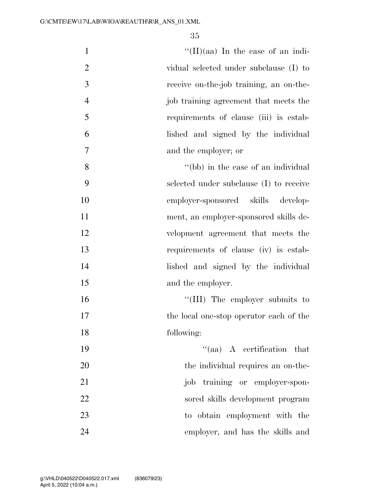| $\mathbf{1}$   | $\lq\lq$ (II)(aa) In the case of an indi- |
|----------------|-------------------------------------------|
| $\overline{2}$ | vidual selected under subclause (I) to    |
| 3              | receive on-the-job training, an on-the-   |
| $\overline{4}$ | job training agreement that meets the     |
| 5              | requirements of clause (iii) is estab-    |
| 6              | lished and signed by the individual       |
| 7              | and the employer; or                      |
| 8              | "(bb) in the case of an individual"       |
| 9              | selected under subclause (I) to receive   |
| 10             | employer-sponsored skills develop-        |
| 11             | ment, an employer-sponsored skills de-    |
| 12             | velopment agreement that meets the        |
| 13             | requirements of clause (iv) is estab-     |
| 14             | lished and signed by the individual       |
| 15             | and the employer.                         |
| 16             | "(III) The employer submits to            |
| 17             | the local one-stop operator each of the   |
| 18             | following:                                |
| 19             | $\lq\lq$ (aa) A certification that        |
| 20             | the individual requires an on-the-        |
| 21             | job training or employer-spon-            |
| 22             | sored skills development program          |
| 23             | to obtain employment with the             |
| 24             | employer, and has the skills and          |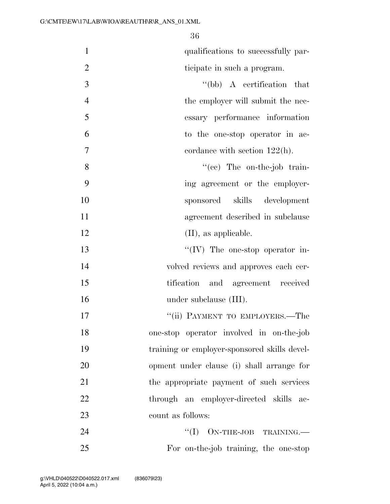$0<sup>6</sup>$ 

|                | 50                                      |
|----------------|-----------------------------------------|
| $\mathbf{1}$   | qualifications to successfully par-     |
| $\overline{2}$ | ticipate in such a program.             |
| $\mathfrak{Z}$ | $\lq\lq(bb)$ A certification that       |
| $\overline{4}$ | the employer will submit the nec-       |
| 5              | essary performance information          |
| 6              | to the one-stop operator in ac-         |
| $\overline{7}$ | cordance with section $122(h)$ .        |
| 8              | "(cc) The on-the-job train-             |
| 9              | ing agreement or the employer-          |
| 10             | sponsored skills development            |
| 11             | agreement described in subclause        |
| 12             | $(II)$ , as applicable.                 |
| 13             | $\lq\lq$ (IV) The one-stop operator in- |
| 14             | volved reviews and approves each cer-   |

 tification and agreement received 16 under subclause (III).

17 ''(ii) PAYMENT TO EMPLOYERS.—The one-stop operator involved in on-the-job training or employer-sponsored skills devel- opment under clause (i) shall arrange for the appropriate payment of such services through an employer-directed skills ac-count as follows:

24 ''(I) ON-THE-JOB TRAINING. For on-the-job training, the one-stop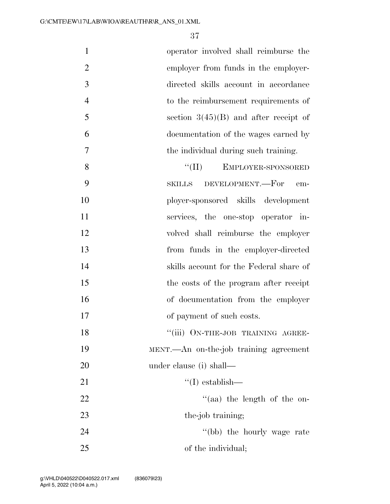operator involved shall reimburse the employer from funds in the employer- directed skills account in accordance to the reimbursement requirements of  $5 \qquad \qquad$  section  $3(45)(B)$  and after receipt of documentation of the wages earned by the individual during such training. 8 "(II) EMPLOYER-SPONSORED SKILLS DEVELOPMENT.—For em- ployer-sponsored skills development services, the one-stop operator in-volved shall reimburse the employer

 from funds in the employer-directed skills account for the Federal share of the costs of the program after receipt of documentation from the employer of payment of such costs. 18 "(iii) ON-THE-JOB TRAINING AGREE-

 MENT.—An on-the-job training agreement under clause (i) shall—

21 ''(I) establish—

22  $\frac{u}{a}$  a) the length of the on-23 the-job training; 24 ''(bb) the hourly wage rate

of the individual;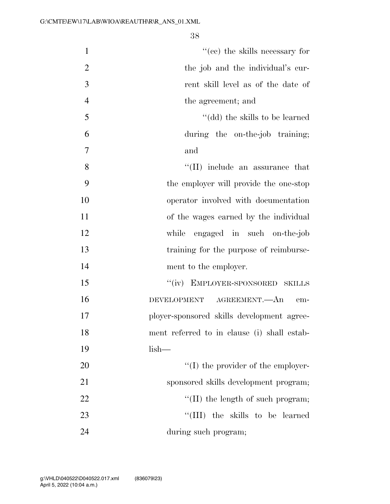| $\mathbf{1}$   | $f'(ce)$ the skills necessary for           |
|----------------|---------------------------------------------|
| $\overline{2}$ | the job and the individual's cur-           |
| 3              | rent skill level as of the date of          |
| $\overline{4}$ | the agreement; and                          |
| 5              | "(dd) the skills to be learned              |
| 6              | during the on-the-job training;             |
| 7              | and                                         |
| 8              | $\lq\lq$ (II) include an assurance that     |
| 9              | the employer will provide the one-stop      |
| 10             | operator involved with documentation        |
| 11             | of the wages earned by the individual       |
| 12             | while engaged in such on-the-job            |
| 13             | training for the purpose of reimburse-      |
| 14             | ment to the employer.                       |
| 15             | "(iv) EMPLOYER-SPONSORED SKILLS             |
| 16             | DEVELOPMENT<br>AGREEMENT.—An<br>em-         |
| 17             | ployer-sponsored skills development agree-  |
| 18             | ment referred to in clause (i) shall estab- |
| 19             | $lish-$                                     |
| 20             | $\lq\lq$ (I) the provider of the employer-  |
| 21             | sponsored skills development program;       |
| 22             | $\lq\lq$ (II) the length of such program;   |
| 23             | "(III) the skills to be learned             |
| 24             | during such program;                        |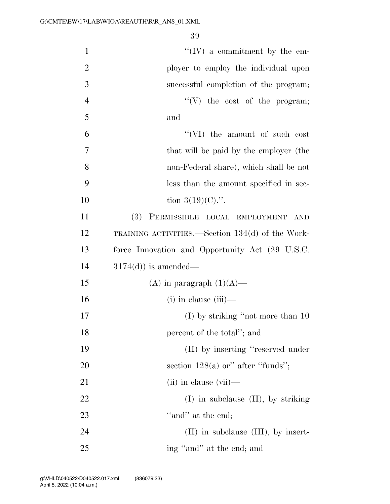| $\mathbf{1}$   | $\lq\lq (IV)$ a commitment by the em-            |
|----------------|--------------------------------------------------|
| $\overline{2}$ | ployer to employ the individual upon             |
| 3              | successful completion of the program;            |
| $\overline{4}$ | $\lq\lq(V)$ the cost of the program;             |
| 5              | and                                              |
| 6              | "(VI) the amount of such cost                    |
| 7              | that will be paid by the employer (the           |
| 8              | non-Federal share), which shall be not           |
| 9              | less than the amount specified in sec-           |
| 10             | tion $3(19)(C)$ .".                              |
| 11             | (3) PERMISSIBLE LOCAL EMPLOYMENT<br><b>AND</b>   |
| 12             | TRAINING ACTIVITIES.—Section 134(d) of the Work- |
| 13             | force Innovation and Opportunity Act (29 U.S.C.  |
| 14             | $3174(d)$ ) is amended—                          |
| 15             | (A) in paragraph $(1)(A)$ —                      |
| 16             | $(i)$ in clause $(iii)$ —                        |
| 17             | (I) by striking "not more than 10                |
| 18             | percent of the total"; and                       |
| 19             | (II) by inserting "reserved under                |
| 20             | section $128(a)$ or" after "funds";              |
| 21             | $(ii)$ in clause $(vii)$ —                       |
| 22             | $(I)$ in subclause $(II)$ , by striking          |
| 23             | "and" at the end;                                |
| 24             | $(II)$ in subclause $(III)$ , by insert-         |
| 25             | ing "and" at the end; and                        |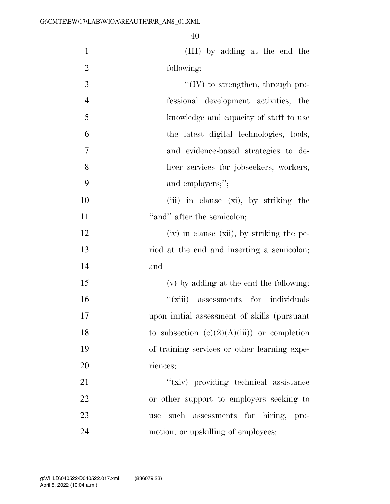| $\mathbf{1}$   | (III) by adding at the end the               |
|----------------|----------------------------------------------|
| $\overline{2}$ | following:                                   |
| 3              | $``(IV)$ to strengthen, through pro-         |
| $\overline{4}$ | fessional development activities, the        |
| 5              | knowledge and capacity of staff to use       |
| 6              | the latest digital technologies, tools,      |
| 7              | and evidence-based strategies to de-         |
| 8              | liver services for jobseekers, workers,      |
| 9              | and employers;";                             |
| 10             | (iii) in clause (xi), by striking the        |
| 11             | "and" after the semicolon;                   |
| 12             | (iv) in clause (xii), by striking the pe-    |
| 13             | riod at the end and inserting a semicolon;   |
| 14             | and                                          |
| 15             | (v) by adding at the end the following:      |
| 16             | "(xiii) assessments for individuals          |
| 17             | upon initial assessment of skills (pursuant  |
| 18             | to subsection $(e)(2)(A)(iii)$ or completion |
| 19             | of training services or other learning expe- |
| 20             | riences;                                     |
| 21             | "(xiv) providing technical assistance        |
| 22             | or other support to employers seeking to     |
| 23             | such assessments for hiring, pro-<br>use     |
| 24             | motion, or upskilling of employees;          |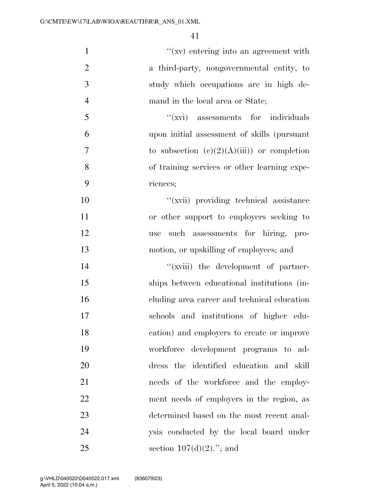| $\mathbf{1}$   | "(xv) entering into an agreement with        |
|----------------|----------------------------------------------|
| $\mathbf{2}$   | a third-party, nongovernmental entity, to    |
| 3              | study which occupations are in high de-      |
| $\overline{4}$ | mand in the local area or State;             |
| 5              | "(xvi) assessments for individuals           |
| 6              | upon initial assessment of skills (pursuant  |
| $\tau$         | to subsection $(c)(2)(A)(iii)$ or completion |
| 8              | of training services or other learning expe- |
| 9              | riences;                                     |
| 10             | "(xvii) providing technical assistance       |
| 11             | or other support to employers seeking to     |
| 12             | such assessments for hiring, pro-<br>use     |
| 13             | motion, or upskilling of employees; and      |
| 14             | "(xviii) the development of partner-         |
| 15             | ships between educational institutions (in-  |
| 16             | cluding area career and technical education  |
| 17             | schools and institutions of higher edu-      |
| 18             | cation) and employers to create or improve   |
| 19             | workforce development programs to ad-        |
| 20             | dress the identified education and skill     |
| 21             | needs of the workforce and the employ-       |
| 22             | ment needs of employers in the region, as    |
| 23             | determined based on the most recent anal-    |
| 24             | ysis conducted by the local board under      |
| 25             | section $107(d)(2)$ ."; and                  |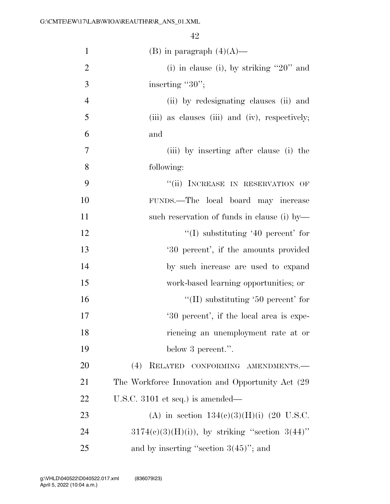| $\mathbf{1}$   | (B) in paragraph $(4)(A)$ —                         |
|----------------|-----------------------------------------------------|
| $\overline{2}$ | (i) in clause (i), by striking " $20$ " and         |
| 3              | inserting " $30$ ";                                 |
| $\overline{4}$ | (ii) by redesignating clauses (ii) and              |
| 5              | (iii) as clauses (iii) and (iv), respectively;      |
| 6              | and                                                 |
| $\overline{7}$ | (iii) by inserting after clause (i) the             |
| 8              | following:                                          |
| 9              | "(ii) INCREASE IN RESERVATION OF                    |
| 10             | FUNDS.—The local board may increase                 |
| 11             | such reservation of funds in clause (i) by-         |
| 12             | $\lq(1)$ substituting '40 percent' for              |
| 13             | '30 percent', if the amounts provided               |
| 14             | by such increase are used to expand                 |
| 15             | work-based learning opportunities; or               |
| 16             | "(II) substituting '50 percent' for                 |
| 17             | '30 percent', if the local area is expe-            |
| 18             | riencing an unemployment rate at or                 |
| 19             | below 3 percent.".                                  |
| 20             | (4) RELATED CONFORMING AMENDMENTS.-                 |
| 21             | The Workforce Innovation and Opportunity Act (29)   |
| 22             | U.S.C. 3101 et seq.) is amended—                    |
| 23             | (A) in section $134(c)(3)(H)(i)$ (20 U.S.C.         |
| 24             | $3174(e)(3)(H)(i)$ , by striking "section $3(44)$ " |
| 25             | and by inserting "section $3(45)$ "; and            |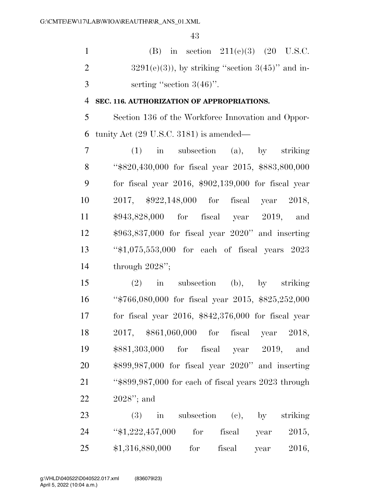|               | (B) in section $211(e)(3)$ (20 U.S.C.                 |
|---------------|-------------------------------------------------------|
|               | $3291(e)(3)$ , by striking "section $3(45)$ " and in- |
| $\mathcal{R}$ | serting "section $3(46)$ ".                           |

#### **SEC. 116. AUTHORIZATION OF APPROPRIATIONS.**

 Section 136 of the Workforce Innovation and Oppor-tunity Act (29 U.S.C. 3181) is amended—

 (1) in subsection (a), by striking ''\$820,430,000 for fiscal year 2015, \$883,800,000 for fiscal year 2016, \$902,139,000 for fiscal year 2017, \$922,148,000 for fiscal year 2018, \$943,828,000 for fiscal year 2019, and \$963,837,000 for fiscal year 2020'' and inserting ''\$1,075,553,000 for each of fiscal years 2023 through 2028'';

 (2) in subsection (b), by striking ''\$766,080,000 for fiscal year 2015, \$825,252,000 for fiscal year 2016, \$842,376,000 for fiscal year 2017, \$861,060,000 for fiscal year 2018, \$881,303,000 for fiscal year 2019, and \$899,987,000 for fiscal year 2020'' and inserting ''\$899,987,000 for each of fiscal years 2023 through 2028''; and

23 (3) in subsection (c), by striking ''\$1,222,457,000 for fiscal year 2015, \$1,316,880,000 for fiscal year 2016,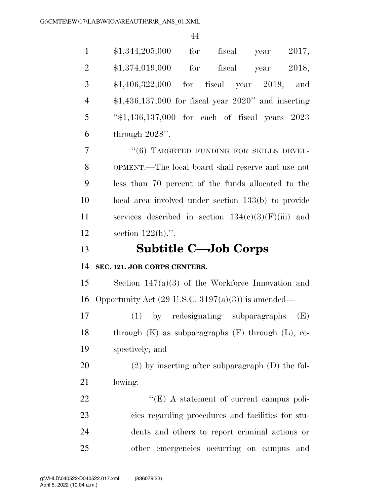| $\mathbf{1}$   | fiscal year $2017$ ,<br>\$1,344,205,000<br>for                |
|----------------|---------------------------------------------------------------|
| $\overline{2}$ | $$1,374,019,000$ for<br>fiscal year 2018,                     |
| 3              | $$1,406,322,000$ for fiscal year 2019,<br>and                 |
| $\overline{4}$ | $$1,436,137,000$ for fiscal year $2020"$ and inserting        |
| 5              | "\$1,436,137,000 for each of fiscal years 2023                |
| 6              | through $2028$ ".                                             |
| 7              | "(6) TARGETED FUNDING FOR SKILLS DEVEL-                       |
| 8              | OPMENT.—The local board shall reserve and use not             |
| 9              | less than 70 percent of the funds allocated to the            |
| 10             | local area involved under section 133(b) to provide           |
| 11             | services described in section $134(c)(3)(F)(iii)$ and         |
| 12             | section $122(h)$ .".                                          |
| 13             | <b>Subtitle C-Job Corps</b>                                   |
| 14             | SEC. 121. JOB CORPS CENTERS.                                  |
| 15             | Section $147(a)(3)$ of the Workforce Innovation and           |
| 16             | Opportunity Act $(29 \text{ U.S.C. } 3197(a)(3))$ is amended— |
| 17             | (1) by redesignating subparagraphs<br>(E)                     |
| 18             | through $(K)$ as subparagraphs $(F)$ through $(L)$ , re-      |
| 19             | spectively; and                                               |
| 20             | $(2)$ by inserting after subparagraph $(D)$ the fol-          |
| 21             | lowing:                                                       |
| 22             | " $(E)$ A statement of current campus poli-                   |
| 23             | cies regarding procedures and facilities for stu-             |
| 24             | dents and others to report criminal actions or                |
| 25             | other emergencies occurring on campus and                     |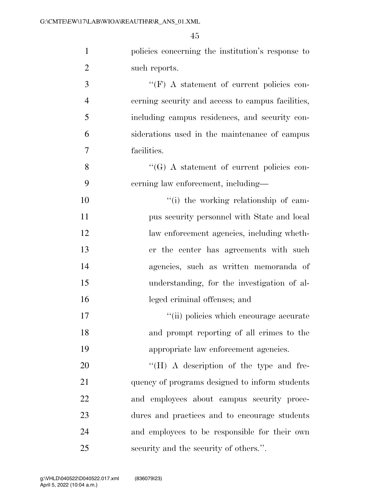| $\mathbf{1}$   | policies concerning the institution's response to |
|----------------|---------------------------------------------------|
| $\overline{2}$ | such reports.                                     |
| 3              | $\lq\lq(F)$ A statement of current policies con-  |
| $\overline{4}$ | cerning security and access to campus facilities, |
| 5              | including campus residences, and security con-    |
| 6              | siderations used in the maintenance of campus     |
| 7              | facilities.                                       |
| 8              | $\lq\lq (G)$ A statement of current policies con- |
| 9              | cerning law enforcement, including—               |
| 10             | "(i) the working relationship of cam-             |
| 11             | pus security personnel with State and local       |
| 12             | law enforcement agencies, including wheth-        |
| 13             | er the center has agreements with such            |
| 14             | agencies, such as written memoranda of            |
| 15             | understanding, for the investigation of al-       |
| 16             | leged criminal offenses; and                      |
| 17             | "(ii) policies which encourage accurate           |
| 18             | and prompt reporting of all crimes to the         |
| 19             | appropriate law enforcement agencies.             |
| 20             | "(H) A description of the type and fre-           |
| 21             | quency of programs designed to inform students    |
| 22             | and employees about campus security proce-        |
| 23             | dures and practices and to encourage students     |
| 24             | and employees to be responsible for their own     |
| 25             | security and the security of others.".            |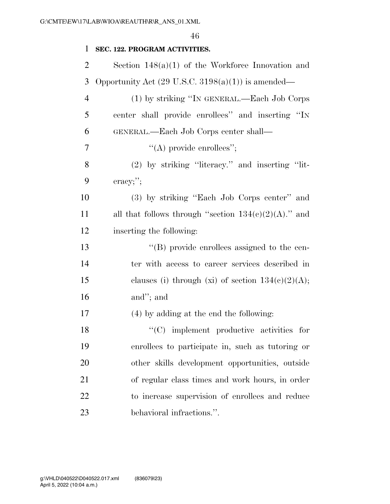| 1              | SEC. 122. PROGRAM ACTIVITIES.                                 |
|----------------|---------------------------------------------------------------|
| $\overline{2}$ | Section $148(a)(1)$ of the Workforce Innovation and           |
| 3              | Opportunity Act $(29 \text{ U.S.C. } 3198(a)(1))$ is amended— |
| $\overline{4}$ | (1) by striking "IN GENERAL.—Each Job Corps                   |
| 5              | center shall provide enrollees" and inserting "IN             |
| 6              | GENERAL.—Each Job Corps center shall—                         |
| 7              | $\lq\lq$ provide enrollees";                                  |
| 8              | $(2)$ by striking "literacy." and inserting "lit-             |
| 9              | $\alpha$ eracy;";                                             |
| 10             | (3) by striking "Each Job Corps center" and                   |
| 11             | all that follows through "section $134(e)(2)(A)$ ." and       |
| 12             | inserting the following:                                      |
| 13             | $\lq\lq (B)$ provide enrollees assigned to the cen-           |
| 14             | ter with access to career services described in               |
| 15             | clauses (i) through (xi) of section $134(c)(2)(A);$           |
| 16             | and"; and                                                     |
| 17             | (4) by adding at the end the following:                       |
| 18             | $\lq\lq$ implement productive activities for                  |
| 19             | enrollees to participate in, such as tutoring or              |
| 20             | other skills development opportunities, outside               |
| 21             | of regular class times and work hours, in order               |
| 22             | to increase supervision of enrollees and reduce               |
| 23             | behavioral infractions.".                                     |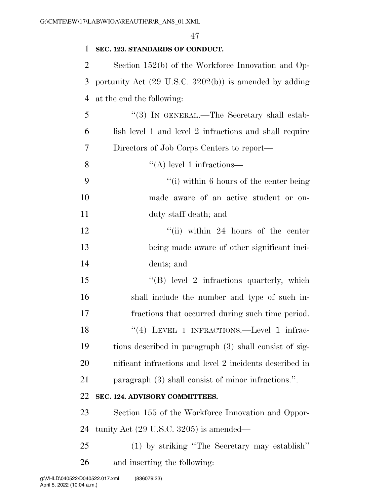| 1  | SEC. 123. STANDARDS OF CONDUCT.                                   |
|----|-------------------------------------------------------------------|
| 2  | Section $152(b)$ of the Workforce Innovation and Op-              |
| 3  | portunity Act $(29 \text{ U.S.C. } 3202(b))$ is amended by adding |
| 4  | at the end the following:                                         |
| 5  | "(3) IN GENERAL.—The Secretary shall estab-                       |
| 6  | lish level 1 and level 2 infractions and shall require            |
| 7  | Directors of Job Corps Centers to report—                         |
| 8  | $\lq\lq$ level 1 infractions—                                     |
| 9  | "(i) within 6 hours of the center being                           |
| 10 | made aware of an active student or on-                            |
| 11 | duty staff death; and                                             |
| 12 | $``(ii)$ within 24 hours of the center                            |
| 13 | being made aware of other significant inci-                       |
| 14 | dents; and                                                        |
| 15 | $\lq\lq (B)$ level 2 infractions quarterly, which                 |
| 16 | shall include the number and type of such in-                     |
| 17 | fractions that occurred during such time period.                  |
| 18 | "(4) LEVEL 1 INFRACTIONS.—Level 1 infrac-                         |
| 19 | tions described in paragraph (3) shall consist of sig-            |
| 20 | nificant infractions and level 2 incidents described in           |
| 21 | paragraph (3) shall consist of minor infractions.".               |
| 22 | SEC. 124. ADVISORY COMMITTEES.                                    |
| 23 | Section 155 of the Workforce Innovation and Oppor-                |
| 24 | tunity Act $(29 \text{ U.S.C. } 3205)$ is amended—                |
| 25 | (1) by striking "The Secretary may establish"                     |
| 26 | and inserting the following:                                      |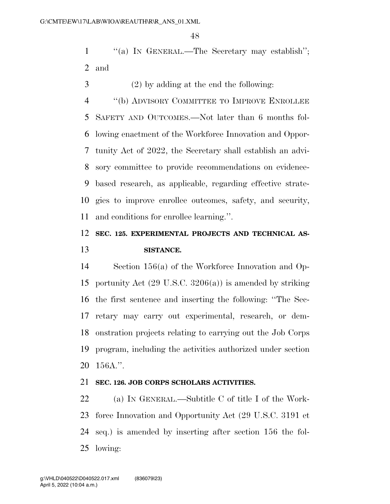1 ""(a) IN GENERAL.—The Secretary may establish"; and

(2) by adding at the end the following:

 ''(b) ADVISORY COMMITTEE TO IMPROVE ENROLLEE SAFETY AND OUTCOMES.—Not later than 6 months fol- lowing enactment of the Workforce Innovation and Oppor- tunity Act of 2022, the Secretary shall establish an advi- sory committee to provide recommendations on evidence- based research, as applicable, regarding effective strate- gies to improve enrollee outcomes, safety, and security, and conditions for enrollee learning.''.

### **SEC. 125. EXPERIMENTAL PROJECTS AND TECHNICAL AS-SISTANCE.**

 Section 156(a) of the Workforce Innovation and Op- portunity Act (29 U.S.C. 3206(a)) is amended by striking the first sentence and inserting the following: ''The Sec- retary may carry out experimental, research, or dem- onstration projects relating to carrying out the Job Corps program, including the activities authorized under section 156A.''.

#### **SEC. 126. JOB CORPS SCHOLARS ACTIVITIES.**

 (a) IN GENERAL.—Subtitle C of title I of the Work- force Innovation and Opportunity Act (29 U.S.C. 3191 et seq.) is amended by inserting after section 156 the fol-lowing: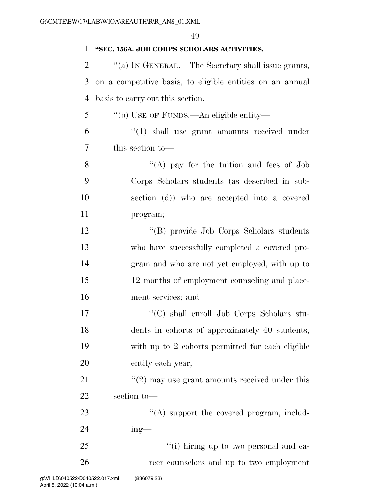| 1              | "SEC. 156A. JOB CORPS SCHOLARS ACTIVITIES.                |
|----------------|-----------------------------------------------------------|
| $\overline{2}$ | "(a) IN GENERAL.—The Secretary shall issue grants,        |
| 3              | on a competitive basis, to eligible entities on an annual |
| $\overline{4}$ | basis to carry out this section.                          |
| 5              | "(b) USE OF FUNDS.—An eligible entity—                    |
| 6              | $\cdot$ (1) shall use grant amounts received under        |
| 7              | this section to-                                          |
| 8              | "(A) pay for the tuition and fees of $Job$                |
| 9              | Corps Scholars students (as described in sub-             |
| 10             | section (d)) who are accepted into a covered              |
| 11             | program;                                                  |
| 12             | "(B) provide Job Corps Scholars students                  |
| 13             | who have successfully completed a covered pro-            |
| 14             | gram and who are not yet employed, with up to             |
| 15             | 12 months of employment counseling and place-             |
| 16             | ment services; and                                        |
| 17             | "(C) shall enroll Job Corps Scholars stu-                 |
| 18             | dents in cohorts of approximately 40 students,            |
| 19             | with up to 2 cohorts permitted for each eligible          |
| 20             | entity each year;                                         |
| 21             | $\cdot\cdot(2)$ may use grant amounts received under this |
| 22             | section to-                                               |
| 23             | $\lq\lq$ support the covered program, includ-             |
| 24             | $ing$ —                                                   |
| 25             | "(i) hiring up to two personal and ca-                    |
| 26             | reer counselors and up to two employment                  |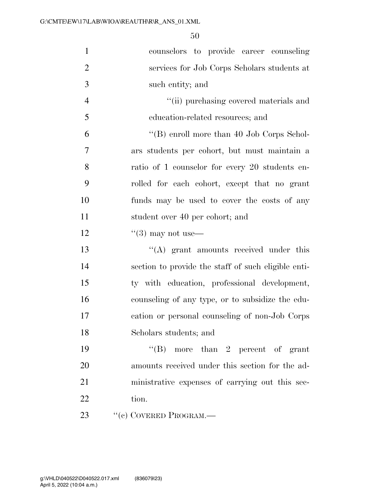| $\mathbf{1}$   | counselors to provide career counseling             |
|----------------|-----------------------------------------------------|
| $\overline{2}$ | services for Job Corps Scholars students at         |
| 3              | such entity; and                                    |
| $\overline{4}$ | "(ii) purchasing covered materials and              |
| 5              | education-related resources; and                    |
| 6              | "(B) enroll more than 40 Job Corps Schol-           |
| 7              | ars students per cohort, but must maintain a        |
| 8              | ratio of 1 counselor for every 20 students en-      |
| 9              | rolled for each cohort, except that no grant        |
| 10             | funds may be used to cover the costs of any         |
| 11             | student over 40 per cohort; and                     |
| 12             | $\cdot\cdot(3)$ may not use—                        |
| 13             | $\lq\lq$ grant amounts received under this          |
| 14             | section to provide the staff of such eligible enti- |
| 15             | ty with education, professional development,        |
| 16             | counseling of any type, or to subsidize the edu-    |
| 17             | cation or personal counseling of non-Job Corps      |
| 18             | Scholars students; and                              |
| 19             | "(B) more than 2 percent of grant                   |
| 20             | amounts received under this section for the ad-     |
| 21             | ministrative expenses of carrying out this sec-     |
| 22             | tion.                                               |
| 23             | "(c) COVERED PROGRAM.—                              |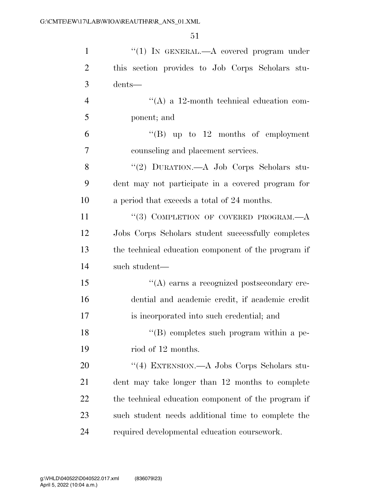| $\mathbf{1}$   | "(1) IN GENERAL.—A covered program under            |
|----------------|-----------------------------------------------------|
| $\overline{2}$ | this section provides to Job Corps Scholars stu-    |
| 3              | dents—                                              |
| $\overline{4}$ | "(A) a 12-month technical education com-            |
| 5              | ponent; and                                         |
| 6              | "(B) up to $12$ months of employment                |
| 7              | counseling and placement services.                  |
| 8              | "(2) DURATION.—A Job Corps Scholars stu-            |
| 9              | dent may not participate in a covered program for   |
| 10             | a period that exceeds a total of 24 months.         |
| 11             | "(3) COMPLETION OF COVERED PROGRAM. $-A$            |
| 12             | Jobs Corps Scholars student successfully completes  |
| 13             | the technical education component of the program if |
| 14             | such student-                                       |
| 15             | $\lq\lq$ earns a recognized postsecondary cre-      |
| 16             | dential and academic credit, if academic credit     |
| 17             | is incorporated into such credential; and           |
| 18             | "(B) completes such program within a pe-            |
| 19             | riod of 12 months.                                  |
| 20             | "(4) EXTENSION.—A Jobs Corps Scholars stu-          |
| 21             | dent may take longer than 12 months to complete     |
| 22             | the technical education component of the program if |
| 23             | such student needs additional time to complete the  |
| 24             | required developmental education coursework.        |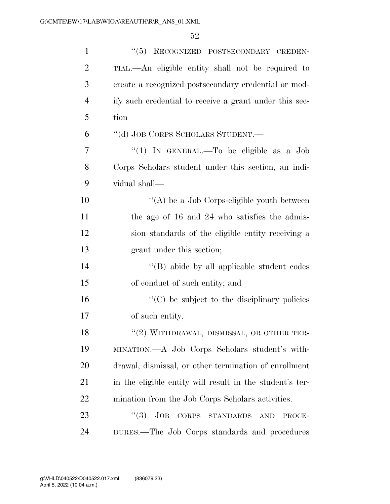| $\mathbf{1}$   | "(5) RECOGNIZED POSTSECONDARY CREDEN-                    |
|----------------|----------------------------------------------------------|
| $\overline{2}$ | TIAL.—An eligible entity shall not be required to        |
| 3              | create a recognized postsecondary credential or mod-     |
| $\overline{4}$ | ify such credential to receive a grant under this sec-   |
| 5              | tion                                                     |
| 6              | "(d) JOB CORPS SCHOLARS STUDENT.-                        |
| 7              | "(1) IN GENERAL.—To be eligible as a Job                 |
| 8              | Corps Scholars student under this section, an indi-      |
| 9              | vidual shall—                                            |
| 10             | "(A) be a Job Corps-eligible youth between               |
| 11             | the age of 16 and 24 who satisfies the admis-            |
| 12             | sion standards of the eligible entity receiving a        |
| 13             | grant under this section;                                |
| 14             | $\lq\lq$ (B) abide by all applicable student codes       |
| 15             | of conduct of such entity; and                           |
| 16             | "(C) be subject to the disciplinary policies             |
| 17             | of such entity.                                          |
| 18             | $``(2)$ WITHDRAWAL, DISMISSAL, OR OTHER TER-             |
| 19             | MINATION.—A Job Corps Scholars student's with-           |
| 20             | drawal, dismissal, or other termination of enrollment    |
| 21             | in the eligible entity will result in the student's ter- |
| 22             | mination from the Job Corps Scholars activities.         |
| 23             | (3)<br>JOB CORPS STANDARDS AND<br>PROCE-                 |
| 24             | DURES.—The Job Corps standards and procedures            |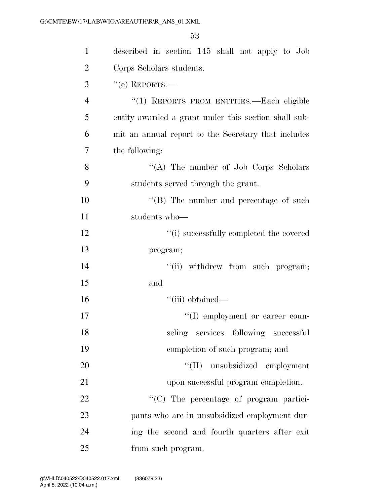| $\mathbf{1}$   | described in section 145 shall not apply to Job      |
|----------------|------------------------------------------------------|
| $\overline{2}$ | Corps Scholars students.                             |
| 3              | $``$ (e) REPORTS.—                                   |
| $\overline{4}$ | "(1) REPORTS FROM ENTITIES.—Each eligible            |
| 5              | entity awarded a grant under this section shall sub- |
| 6              | mit an annual report to the Secretary that includes  |
| $\overline{7}$ | the following:                                       |
| 8              | "(A) The number of Job Corps Scholars                |
| 9              | students served through the grant.                   |
| 10             | "(B) The number and percentage of such               |
| 11             | students who-                                        |
| 12             | "(i) successfully completed the covered              |
| 13             | program;                                             |
| 14             | "(ii) withdrew from such program;                    |
| 15             | and                                                  |
| 16             | ``(iii) obtained                                     |
| 17             | "(I) employment or career coun-                      |
| 18             | seling services following successful                 |
| 19             | completion of such program; and                      |
| 20             | "(II) unsubsidized employment                        |
| 21             | upon successful program completion.                  |
| 22             | "(C) The percentage of program partici-              |
| 23             | pants who are in unsubsidized employment dur-        |
| 24             | ing the second and fourth quarters after exit        |
| 25             | from such program.                                   |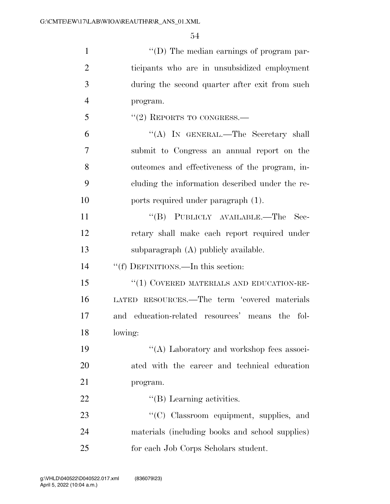| $\mathbf{1}$   | "(D) The median earnings of program par-        |
|----------------|-------------------------------------------------|
| $\overline{2}$ | ticipants who are in unsubsidized employment    |
| 3              | during the second quarter after exit from such  |
| $\overline{4}$ | program.                                        |
| 5              | $``(2)$ REPORTS TO CONGRESS.—                   |
| 6              | "(A) IN GENERAL.—The Secretary shall            |
| 7              | submit to Congress an annual report on the      |
| 8              | outcomes and effectiveness of the program, in-  |
| 9              | cluding the information described under the re- |
| 10             | ports required under paragraph (1).             |
| 11             | "(B) PUBLICLY AVAILABLE.—The<br>Sec-            |
| 12             | retary shall make each report required under    |
| 13             | subparagraph (A) publicly available.            |
| 14             | "(f) DEFINITIONS.—In this section:              |
| 15             | "(1) COVERED MATERIALS AND EDUCATION-RE-        |
| 16             | LATED RESOURCES.—The term 'covered materials    |
| 17             | and education-related resources' means the fol- |
| 18             | lowing:                                         |
| 19             | "(A) Laboratory and workshop fees associ-       |
| 20             | ated with the career and technical education    |
| 21             | program.                                        |
| 22             | $\lq\lq$ (B) Learning activities.               |
| 23             | "(C) Classroom equipment, supplies, and         |
| 24             | materials (including books and school supplies) |
| 25             | for each Job Corps Scholars student.            |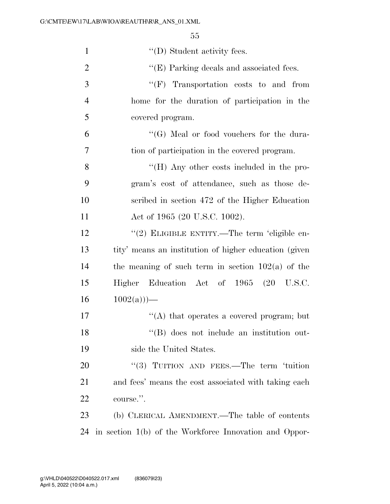| $\mathbf{1}$   | $\lq\lq$ (D) Student activity fees.                    |
|----------------|--------------------------------------------------------|
| $\overline{2}$ | $\lq\lq$ (E) Parking decals and associated fees.       |
| 3              | $``(F)$ Transportation costs to and from               |
| $\overline{4}$ | home for the duration of participation in the          |
| 5              | covered program.                                       |
| 6              | $\lq\lq (G)$ Meal or food vouchers for the dura-       |
| 7              | tion of participation in the covered program.          |
| 8              | "(H) Any other costs included in the pro-              |
| 9              | gram's cost of attendance, such as those de-           |
| 10             | scribed in section 472 of the Higher Education         |
| 11             | Act of 1965 (20 U.S.C. 1002).                          |
| 12             | "(2) ELIGIBLE ENTITY.—The term 'eligible en-           |
| 13             | tity' means an institution of higher education (given  |
| 14             | the meaning of such term in section $102(a)$ of the    |
| 15             | Higher Education Act of 1965                           |
| 16             | $1002(a))$ —                                           |
| 17             | "(A) that operates a covered program; but              |
| 18             | "(B) does not include an institution out-              |
| 19             | side the United States.                                |
| 20             | "(3) TUITION AND FEES.—The term 'tuition               |
| 21             | and fees' means the cost associated with taking each   |
| 22             | course.".                                              |
| 23             | (b) CLERICAL AMENDMENT.—The table of contents          |
| 24             | in section 1(b) of the Workforce Innovation and Oppor- |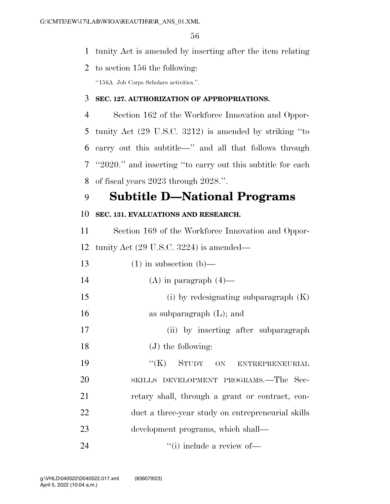- tunity Act is amended by inserting after the item relating
- to section 156 the following: ''156A. Job Corps Scholars activities.''.

#### **SEC. 127. AUTHORIZATION OF APPROPRIATIONS.**

 Section 162 of the Workforce Innovation and Oppor- tunity Act (29 U.S.C. 3212) is amended by striking ''to carry out this subtitle—'' and all that follows through ''2020.'' and inserting ''to carry out this subtitle for each of fiscal years 2023 through 2028.''.

## **Subtitle D—National Programs**

#### **SEC. 131. EVALUATIONS AND RESEARCH.**

 Section 169 of the Workforce Innovation and Oppor-tunity Act (29 U.S.C. 3224) is amended—

| 13 | $(1)$ in subsection $(b)$ —                       |
|----|---------------------------------------------------|
| 14 | (A) in paragraph $(4)$ —                          |
| 15 | (i) by redesignating subparagraph $(K)$           |
| 16 | as subparagraph $(L)$ ; and                       |
| 17 | (ii) by inserting after subparagraph              |
| 18 | $(J)$ the following:                              |
| 19 | "(K) STUDY ON ENTREPRENEURIAL                     |
| 20 | SKILLS DEVELOPMENT PROGRAMS.-The Sec-             |
| 21 | retary shall, through a grant or contract, con-   |
| 22 | duct a three-year study on entrepreneurial skills |
| 23 | development programs, which shall—                |
| 24 | $\lq\lq$ (i) include a review of —                |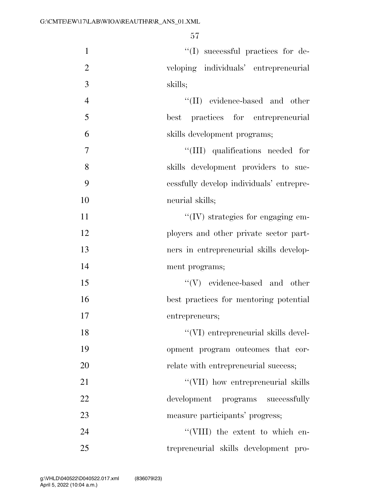| $\mathbf{1}$   | $\lq\lq$ successful practices for de-        |
|----------------|----------------------------------------------|
| $\overline{2}$ | veloping individuals' entrepreneurial        |
| 3              | skills;                                      |
| $\overline{4}$ | $\lq\lq(\text{II})$ evidence-based and other |
| 5              | best practices for entrepreneurial           |
| 6              | skills development programs;                 |
| $\overline{7}$ | "(III) qualifications needed for             |
| 8              | skills development providers to suc-         |
| 9              | eessfully develop individuals' entrepre-     |
| 10             | neurial skills;                              |
| 11             | $\lq\lq$ (IV) strategies for engaging em-    |
| 12             | ployers and other private sector part-       |
| 13             | ners in entrepreneurial skills develop-      |
| 14             | ment programs;                               |
| 15             | $\lq\lq(V)$ –evidence-based and other        |
| 16             | best practices for mentoring potential       |
| 17             | entrepreneurs;                               |
| 18             | "(VI) entrepreneurial skills devel-          |
| 19             | opment program outcomes that cor-            |
| 20             | relate with entrepreneurial success;         |
| 21             | "(VII) how entrepreneurial skills            |
| 22             | development programs successfully            |
| 23             | measure participants' progress;              |
| 24             | "(VIII) the extent to which en-              |
| 25             | trepreneurial skills development pro-        |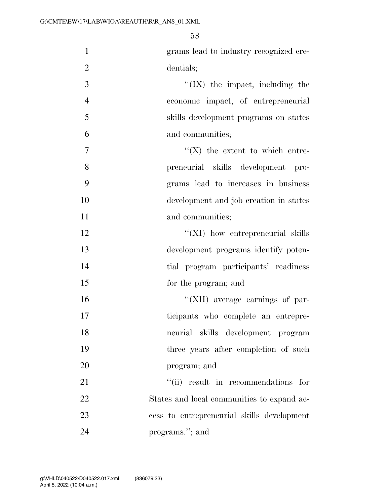| $\mathbf{1}$   | grams lead to industry recognized cre-     |
|----------------|--------------------------------------------|
| $\overline{2}$ | dentials;                                  |
| 3              | $\lq\lq$ (IX) the impact, including the    |
| $\overline{4}$ | economic impact, of entrepreneurial        |
| 5              | skills development programs on states      |
| 6              | and communities;                           |
| $\tau$         | $\lq\lq (X)$ the extent to which entre-    |
| 8              | preneurial skills development pro-         |
| 9              | grams lead to increases in business        |
| 10             | development and job creation in states     |
| 11             | and communities;                           |
| 12             | $\lq\lq$ (XI) how entrepreneurial skills   |
| 13             | development programs identify poten-       |
| 14             | tial program participants' readiness       |
| 15             | for the program; and                       |
| 16             | "(XII) average earnings of par-            |
| 17             | ticipants who complete an entrepre-        |
| 18             | neurial skills development program         |
| 19             | three years after completion of such       |
| 20             | program; and                               |
| 21             | "(ii) result in recommendations for        |
| 22             | States and local communities to expand ac- |
| 23             | cess to entrepreneurial skills development |
| 24             | programs."; and                            |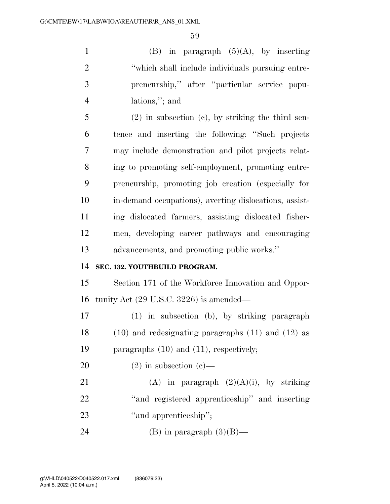1 (B) in paragraph  $(5)(A)$ , by inserting 2 ''which shall include individuals pursuing entre- preneurship,'' after ''particular service popu-lations,''; and

 (2) in subsection (c), by striking the third sen- tence and inserting the following: ''Such projects may include demonstration and pilot projects relat- ing to promoting self-employment, promoting entre- preneurship, promoting job creation (especially for in-demand occupations), averting dislocations, assist- ing dislocated farmers, assisting dislocated fisher- men, developing career pathways and encouraging advancements, and promoting public works.''

#### **SEC. 132. YOUTHBUILD PROGRAM.**

 Section 171 of the Workforce Innovation and Oppor-tunity Act (29 U.S.C. 3226) is amended—

 (1) in subsection (b), by striking paragraph (10) and redesignating paragraphs (11) and (12) as paragraphs (10) and (11), respectively;

20  $(2)$  in subsection  $(c)$ —

21 (A) in paragraph  $(2)(A)(i)$ , by striking ''and registered apprenticeship'' and inserting 23 "and apprenticeship";

24 (B) in paragraph  $(3)(B)$ —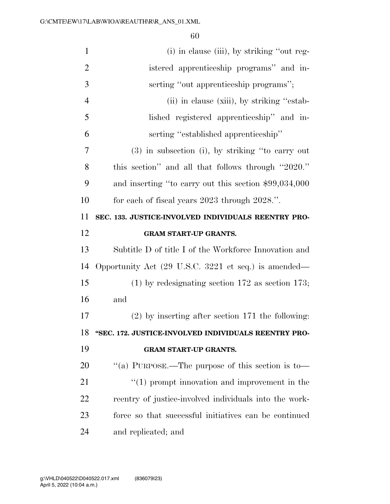| $\mathbf{1}$   | (i) in clause (iii), by striking "out reg-                    |
|----------------|---------------------------------------------------------------|
| $\overline{2}$ | istered apprenticeship programs" and in-                      |
| 3              | serting "out apprenticeship programs";                        |
| $\overline{4}$ | (ii) in clause (xiii), by striking "estab-                    |
| 5              | lished registered apprenticeship" and in-                     |
| 6              | serting "established apprenticeship"                          |
| 7              | (3) in subsection (i), by striking "to carry out              |
| 8              | this section" and all that follows through "2020."            |
| 9              | and inserting "to carry out this section \$99,034,000         |
| 10             | for each of fiscal years 2023 through 2028.".                 |
| 11             | SEC. 133. JUSTICE-INVOLVED INDIVIDUALS REENTRY PRO-           |
| 12             | <b>GRAM START-UP GRANTS.</b>                                  |
|                |                                                               |
| 13             | Subtitle D of title I of the Workforce Innovation and         |
| 14             | Opportunity Act (29 U.S.C. 3221 et seq.) is amended—          |
| 15             | $(1)$ by redesignating section 172 as section 173;            |
| 16             | and                                                           |
| 17             | $(2)$ by inserting after section 171 the following:           |
| 18             | "SEC. 172. JUSTICE-INVOLVED INDIVIDUALS REENTRY PRO-          |
| 19             | <b>GRAM START-UP GRANTS.</b>                                  |
| 20             | "(a) PURPOSE.—The purpose of this section is to—              |
| 21             | $\cdot\cdot\cdot(1)$ prompt innovation and improvement in the |
| 22             | reentry of justice-involved individuals into the work-        |
| 23             | force so that successful initiatives can be continued         |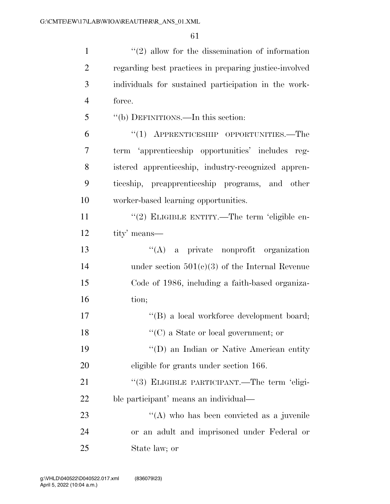| $\mathbf{1}$   | $\lq(2)$ allow for the dissemination of information    |
|----------------|--------------------------------------------------------|
| $\overline{2}$ | regarding best practices in preparing justice-involved |
| 3              | individuals for sustained participation in the work-   |
| $\overline{4}$ | force.                                                 |
| 5              | "(b) DEFINITIONS.—In this section:                     |
| 6              | $(1)$ APPRENTICESHIP OPPORTUNITIES.—The                |
| 7              | term 'apprenticeship opportunities' includes reg-      |
| 8              | istered apprenticeship, industry-recognized appren-    |
| 9              | ticeship, preapprenticeship programs, and other        |
| 10             | worker-based learning opportunities.                   |
| 11             | "(2) ELIGIBLE ENTITY.—The term 'eligible en-           |
| 12             | tity' means—                                           |
| 13             | "(A) a private nonprofit organization                  |
| 14             | under section $501(c)(3)$ of the Internal Revenue      |
| 15             | Code of 1986, including a faith-based organiza-        |
| 16             | tion;                                                  |
| 17             | "(B) a local workforce development board;              |
| 18             | "(C) a State or local government; or                   |
| 19             | "(D) an Indian or Native American entity               |
| 20             | eligible for grants under section 166.                 |
| 21             | "(3) ELIGIBLE PARTICIPANT.—The term 'eligi-            |
| 22             | ble participant' means an individual—                  |
| 23             | "(A) who has been convicted as a juvenile              |
| 24             | or an adult and imprisoned under Federal or            |
| 25             | State law; or                                          |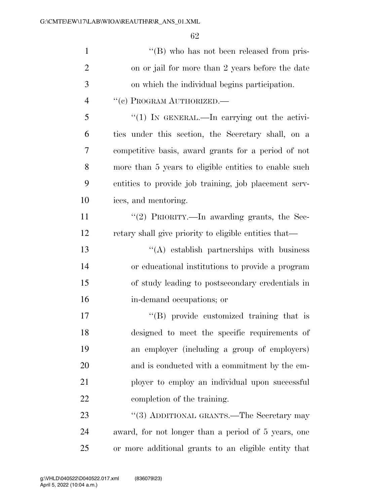| $\mathbf{1}$   | $\lq\lq (B)$ who has not been released from pris-     |
|----------------|-------------------------------------------------------|
| $\overline{2}$ | on or jail for more than 2 years before the date      |
| 3              | on which the individual begins participation.         |
| $\overline{4}$ | "(c) PROGRAM AUTHORIZED.                              |
| 5              | "(1) In GENERAL.—In carrying out the activi-          |
| 6              | ties under this section, the Secretary shall, on a    |
| 7              | competitive basis, award grants for a period of not   |
| 8              | more than 5 years to eligible entities to enable such |
| 9              | entities to provide job training, job placement serv- |
| 10             | ices, and mentoring.                                  |
| 11             | "(2) PRIORITY.—In awarding grants, the Sec-           |
| 12             | retary shall give priority to eligible entities that— |
| 13             | $\lq\lq$ establish partnerships with business         |
| 14             | or educational institutions to provide a program      |
| 15             | of study leading to postsecondary credentials in      |
| 16             | in-demand occupations; or                             |
| 17             | "(B) provide customized training that is              |
| 18             | designed to meet the specific requirements of         |
| 19             | an employer (including a group of employers)          |
| 20             | and is conducted with a commitment by the em-         |
| 21             | ployer to employ an individual upon successful        |
| 22             | completion of the training.                           |
| 23             | "(3) ADDITIONAL GRANTS.—The Secretary may             |
| 24             | award, for not longer than a period of 5 years, one   |

or more additional grants to an eligible entity that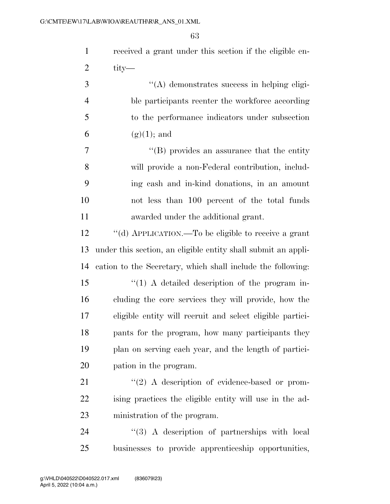| $\mathbf{1}$   | received a grant under this section if the eligible en-       |
|----------------|---------------------------------------------------------------|
| $\overline{2}$ | tity—                                                         |
| 3              | "(A) demonstrates success in helping eligi-                   |
| $\overline{4}$ | ble participants reenter the workforce according              |
| 5              | to the performance indicators under subsection                |
| 6              | $(g)(1)$ ; and                                                |
| 7              | $\lq\lq$ (B) provides an assurance that the entity            |
| 8              | will provide a non-Federal contribution, includ-              |
| 9              | ing cash and in-kind donations, in an amount                  |
| 10             | not less than 100 percent of the total funds                  |
| 11             | awarded under the additional grant.                           |
| 12             | "(d) APPLICATION.—To be eligible to receive a grant           |
| 13             | under this section, an eligible entity shall submit an appli- |
| 14             | cation to the Secretary, which shall include the following:   |
| 15             | $\lq(1)$ A detailed description of the program in-            |
| 16             | cluding the core services they will provide, how the          |
| 17             | eligible entity will recruit and select eligible partici-     |
| 18             | pants for the program, how many participants they             |
| 19             | plan on serving each year, and the length of partici-         |
| 20             | pation in the program.                                        |
| 21             | $\lq(2)$ A description of evidence-based or prom-             |
| 22             | ising practices the eligible entity will use in the ad-       |
| 23             | ministration of the program.                                  |
| 24             | "(3) A description of partnerships with local                 |
| 25             | businesses to provide apprenticeship opportunities,           |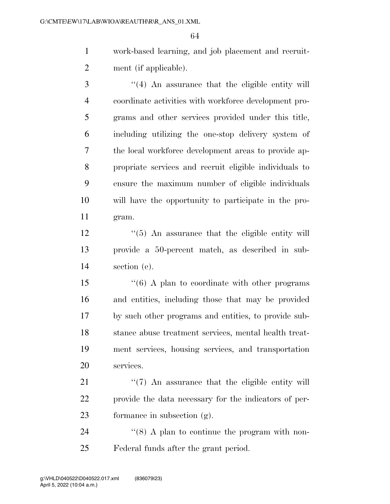work-based learning, and job placement and recruit-ment (if applicable).

 ''(4) An assurance that the eligible entity will coordinate activities with workforce development pro- grams and other services provided under this title, including utilizing the one-stop delivery system of the local workforce development areas to provide ap- propriate services and recruit eligible individuals to ensure the maximum number of eligible individuals will have the opportunity to participate in the pro-gram.

12 ''(5) An assurance that the eligible entity will provide a 50-percent match, as described in sub-section (e).

 ''(6) A plan to coordinate with other programs and entities, including those that may be provided by such other programs and entities, to provide sub- stance abuse treatment services, mental health treat- ment services, housing services, and transportation services.

21 ''(7) An assurance that the eligible entity will provide the data necessary for the indicators of per-formance in subsection (g).

24 ''(8) A plan to continue the program with non-Federal funds after the grant period.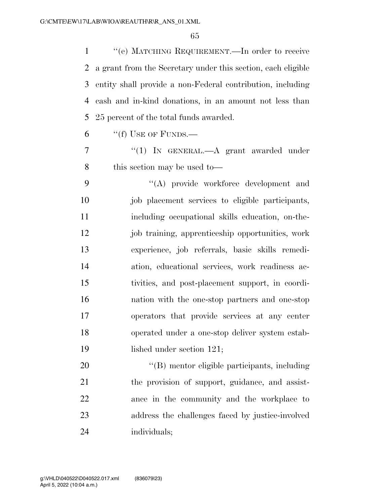''(e) MATCHING REQUIREMENT.—In order to receive a grant from the Secretary under this section, each eligible entity shall provide a non-Federal contribution, including cash and in-kind donations, in an amount not less than 25 percent of the total funds awarded.

"(f) USE OF FUNDS.—

 ''(1) IN GENERAL.—A grant awarded under 8 this section may be used to—

 ''(A) provide workforce development and 10 iob placement services to eligible participants, including occupational skills education, on-the- job training, apprenticeship opportunities, work experience, job referrals, basic skills remedi- ation, educational services, work readiness ac- tivities, and post-placement support, in coordi- nation with the one-stop partners and one-stop operators that provide services at any center operated under a one-stop deliver system estab-19 lished under section 121;

 $\langle$  (B) mentor eligible participants, including the provision of support, guidance, and assist- ance in the community and the workplace to address the challenges faced by justice-involved individuals;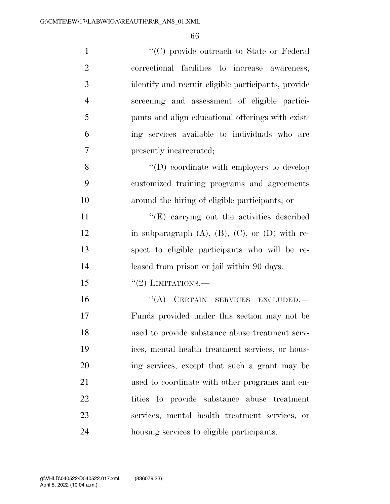| $\mathbf{1}$   | "(C) provide outreach to State or Federal                 |
|----------------|-----------------------------------------------------------|
| $\overline{2}$ | correctional facilities to increase awareness,            |
| 3              | identify and recruit eligible participants, provide       |
| $\overline{4}$ | screening and assessment of eligible partici-             |
| 5              | pants and align educational offerings with exist-         |
| 6              | ing services available to individuals who are             |
| 7              | presently incarcerated;                                   |
| 8              | $\lq\lq$ (D) coordinate with employers to develop         |
| 9              | customized training programs and agreements               |
| 10             | around the hiring of eligible participants; or            |
| 11             | "(E) carrying out the activities described                |
| 12             | in subparagraph $(A)$ , $(B)$ , $(C)$ , or $(D)$ with re- |
| 13             | spect to eligible participants who will be re-            |
| 14             | leased from prison or jail within 90 days.                |
| 15             | $``(2)$ LIMITATIONS.—                                     |
| 16             | "(A) CERTAIN SERVICES EXCLUDED.-                          |
| 17             | Funds provided under this section may not be              |
| 18             | used to provide substance abuse treatment serv-           |
| 19             | ices, mental health treatment services, or hous-          |
| 20             | ing services, except that such a grant may be             |
| 21             | used to coordinate with other programs and en-            |
| 22             | tities to provide substance abuse treatment               |
| 23             | services, mental health treatment services, or            |
| 24             | housing services to eligible participants.                |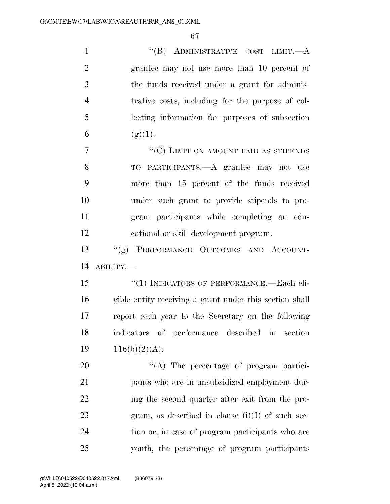| $\mathbf{1}$   | "(B) ADMINISTRATIVE COST LIMIT.— $A$                    |
|----------------|---------------------------------------------------------|
| $\overline{2}$ | grantee may not use more than 10 percent of             |
| 3              | the funds received under a grant for adminis-           |
| $\overline{4}$ | trative costs, including for the purpose of col-        |
| 5              | lecting information for purposes of subsection          |
| 6              | (g)(1).                                                 |
| 7              | "(C) LIMIT ON AMOUNT PAID AS STIPENDS                   |
| 8              | TO PARTICIPANTS.—A grantee may not use                  |
| 9              | more than 15 percent of the funds received              |
| 10             | under such grant to provide stipends to pro-            |
| 11             | gram participants while completing an edu-              |
| 12             | cational or skill development program.                  |
| 13             | "(g) PERFORMANCE OUTCOMES AND ACCOUNT-                  |
| 14             | ABILITY.-                                               |
| 15             | "(1) INDICATORS OF PERFORMANCE.—Each eli-               |
| 16             | gible entity receiving a grant under this section shall |
| 17             | report each year to the Secretary on the following      |
| 18             | indicators of performance described in<br>section       |
| 19             | $116(b)(2)(A)$ :                                        |
| 20             | $\lq\lq$ . The percentage of program partici-           |
| 21             | pants who are in unsubsidized employment dur-           |
| 22             | ing the second quarter after exit from the pro-         |
| 23             | gram, as described in clause $(i)(I)$ of such sec-      |
| 24             | tion or, in case of program participants who are        |
| 25             | youth, the percentage of program participants           |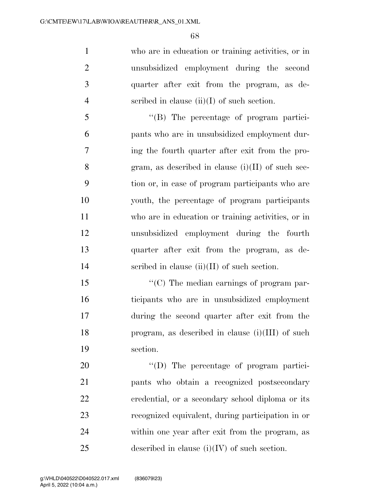who are in education or training activities, or in unsubsidized employment during the second quarter after exit from the program, as de-4 seribed in clause  $(ii)(I)$  of such section.

 ''(B) The percentage of program partici- pants who are in unsubsidized employment dur- ing the fourth quarter after exit from the pro-8 gram, as described in clause  $(i)(II)$  of such sec- tion or, in case of program participants who are youth, the percentage of program participants who are in education or training activities, or in unsubsidized employment during the fourth quarter after exit from the program, as de-scribed in clause (ii)(II) of such section.

 $\langle ^{\prime\prime}(C) \rangle$  The median earnings of program par- ticipants who are in unsubsidized employment during the second quarter after exit from the program, as described in clause (i)(III) of such section.

 $\text{``(D)}$  The percentage of program partici- pants who obtain a recognized postsecondary credential, or a secondary school diploma or its recognized equivalent, during participation in or within one year after exit from the program, as 25 described in clause  $(i)(IV)$  of such section.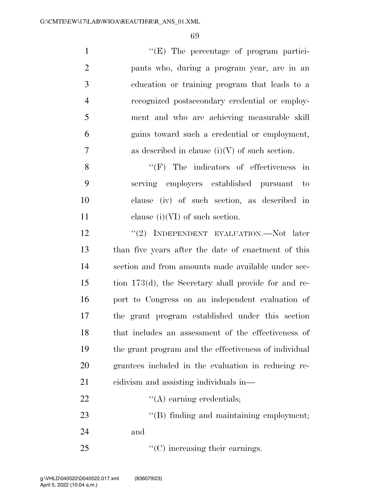| $\mathbf{1}$   | $\lq\lq(E)$ The percentage of program partici-        |
|----------------|-------------------------------------------------------|
| $\overline{2}$ | pants who, during a program year, are in an           |
| 3              | education or training program that leads to a         |
| $\overline{4}$ | recognized postsecondary credential or employ-        |
| 5              | ment and who are achieving measurable skill           |
| 6              | gains toward such a credential or employment,         |
| $\overline{7}$ | as described in clause $(i)(V)$ of such section.      |
| 8              | $\lq\lq(F)$ The indicators of effectiveness in        |
| 9              | serving employers established pursuant<br>$-$ to      |
| 10             | clause (iv) of such section, as described in          |
| 11             | clause $(i)(VI)$ of such section.                     |
| 12             | "(2) INDEPENDENT EVALUATION.—Not later                |
| 13             | than five years after the date of enactment of this   |
| 14             | section and from amounts made available under sec-    |
| 15             | tion 173(d), the Secretary shall provide for and re-  |
| 16             | port to Congress on an independent evaluation of      |
| 17             | the grant program established under this section      |
| 18             | that includes an assessment of the effectiveness of   |
| 19             | the grant program and the effectiveness of individual |
| 20             | grantees included in the evaluation in reducing re-   |
| 21             | eidivism and assisting individuals in-                |

22  $\qquad \qquad \text{``(A) earning credentials;}$ 

23 ''(B) finding and maintaining employment; and

25 ''(C) increasing their earnings.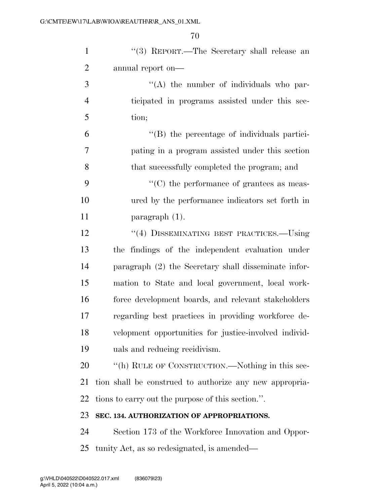| $\mathbf{1}$   | "(3) REPORT.—The Secretary shall release an             |
|----------------|---------------------------------------------------------|
| $\overline{2}$ | annual report on—                                       |
| 3              | $\lq\lq$ the number of individuals who par-             |
| $\overline{4}$ | ticipated in programs assisted under this sec-          |
| 5              | tion;                                                   |
| 6              | "(B) the percentage of individuals partici-             |
| 7              | pating in a program assisted under this section         |
| 8              | that successfully completed the program; and            |
| 9              | $\lq\lq$ (C) the performance of grantees as meas-       |
| 10             | ured by the performance indicators set forth in         |
| 11             | $\frac{1}{2}$ paragraph $(1)$ .                         |
| 12             | "(4) DISSEMINATING BEST PRACTICES.-Using                |
| 13             | the findings of the independent evaluation under        |
| 14             | paragraph (2) the Secretary shall disseminate infor-    |
| 15             | mation to State and local government, local work-       |
| 16             | force development boards, and relevant stakeholders     |
| 17             | regarding best practices in providing workforce de-     |
| 18             | velopment opportunities for justice-involved individ-   |
| 19             | uals and reducing recidivism.                           |
| 20             | "(h) RULE OF CONSTRUCTION.—Nothing in this sec-         |
| 21             | tion shall be construed to authorize any new appropria- |
| 22             | tions to carry out the purpose of this section.".       |
| 23             | SEC. 134. AUTHORIZATION OF APPROPRIATIONS.              |
| 24             | Section 173 of the Workforce Innovation and Oppor-      |
| 25             | tunity Act, as so redesignated, is amended—             |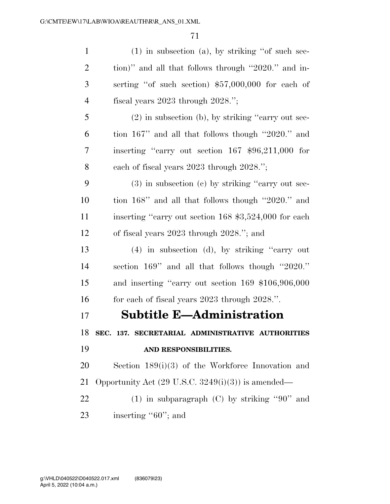| $(1)$ in subsection $(a)$ , by striking "of such sec-         |
|---------------------------------------------------------------|
| tion)" and all that follows through "2020." and in-           |
| serting "of such section) \$57,000,000 for each of            |
| fiscal years $2023$ through $2028$ .";                        |
| $(2)$ in subsection (b), by striking "carry out sec-          |
| tion 167" and all that follows though "2020." and             |
| inserting "carry out section $167$ \$96,211,000 for           |
| each of fiscal years 2023 through 2028.";                     |
| $(3)$ in subsection $(e)$ by striking "carry out sec-         |
| tion 168" and all that follows though "2020." and             |
| inserting "carry out section 168 \$3,524,000 for each         |
| of fiscal years 2023 through 2028."; and                      |
| $(4)$ in subsection (d), by striking "carry out               |
| section 169" and all that follows though "2020."              |
| and inserting "carry out section 169 \$106,906,000            |
| for each of fiscal years 2023 through 2028.".                 |
| <b>Subtitle E-Administration</b>                              |
| SEC. 137. SECRETARIAL ADMINISTRATIVE AUTHORITIES              |
| AND RESPONSIBILITIES.                                         |
| Section $189(i)(3)$ of the Workforce Innovation and           |
| Opportunity Act $(29 \text{ U.S.C. } 3249(i)(3))$ is amended— |
| (1) in subparagraph (C) by striking "90" and                  |
| inserting "60"; and                                           |
|                                                               |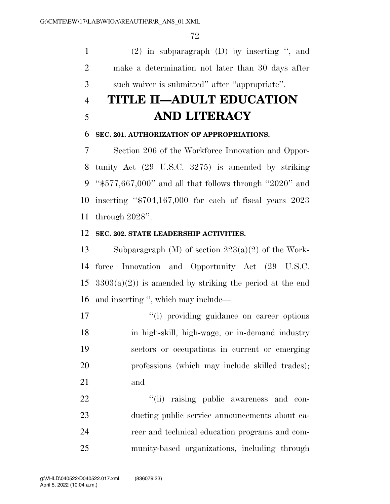(2) in subparagraph (D) by inserting '', and make a determination not later than 30 days after such waiver is submitted'' after ''appropriate''.

# **TITLE II—ADULT EDUCATION AND LITERACY**

#### **SEC. 201. AUTHORIZATION OF APPROPRIATIONS.**

 Section 206 of the Workforce Innovation and Oppor- tunity Act (29 U.S.C. 3275) is amended by striking ''\$577,667,000'' and all that follows through ''2020'' and inserting ''\$704,167,000 for each of fiscal years 2023 through 2028''.

#### **SEC. 202. STATE LEADERSHIP ACTIVITIES.**

 Subparagraph (M) of section 223(a)(2) of the Work- force Innovation and Opportunity Act (29 U.S.C.  $3303(a)(2)$  is amended by striking the period at the end and inserting '', which may include—

 $\frac{1}{10}$  providing guidance on career options in high-skill, high-wage, or in-demand industry sectors or occupations in current or emerging professions (which may include skilled trades); and

 $\frac{4}{11}$  raising public awareness and con- ducting public service announcements about ca- reer and technical education programs and com-munity-based organizations, including through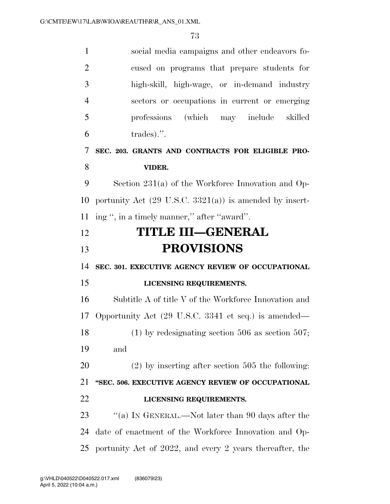| $\mathbf{1}$   | social media campaigns and other endeavors fo-                     |
|----------------|--------------------------------------------------------------------|
| $\overline{2}$ | cused on programs that prepare students for                        |
| 3              | high-skill, high-wage, or in-demand industry                       |
| $\overline{4}$ | sectors or occupations in current or emerging                      |
| 5              | professions (which may include<br>skilled                          |
| 6              | trades).".                                                         |
| 7              | SEC. 203. GRANTS AND CONTRACTS FOR ELIGIBLE PRO-                   |
| 8              | VIDER.                                                             |
| 9              | Section $231(a)$ of the Workforce Innovation and Op-               |
| 10             | portunity Act $(29 \text{ U.S.C. } 3321(a))$ is amended by insert- |
| 11             | ing ", in a timely manner," after "award".                         |
| 12             | <b>TITLE III—GENERAL</b>                                           |
| 13             | <b>PROVISIONS</b>                                                  |
| 14             | SEC. 301. EXECUTIVE AGENCY REVIEW OF OCCUPATIONAL                  |
| 15             | LICENSING REQUIREMENTS.                                            |
| 16             | Subtitle A of title V of the Workforce Innovation and              |
| 17             | Opportunity Act (29 U.S.C. 3341 et seq.) is amended—               |
| 18             | $(1)$ by redesignating section 506 as section 507;                 |
| 19             | and                                                                |
| 20             | $(2)$ by inserting after section 505 the following:                |
| 21             | "SEC. 506. EXECUTIVE AGENCY REVIEW OF OCCUPATIONAL                 |
| 22             | LICENSING REQUIREMENTS.                                            |
|                |                                                                    |
| 23             | "(a) IN GENERAL.—Not later than 90 days after the                  |
| 24             | date of enactment of the Workforce Innovation and Op-              |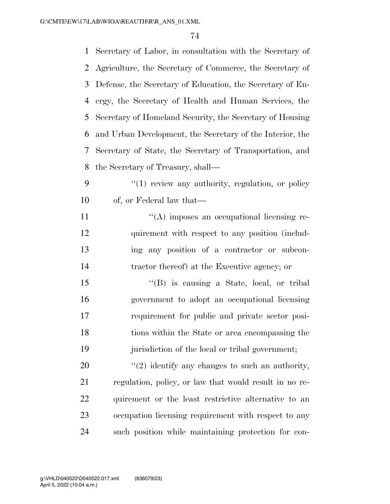| $\mathbf{1}$ | Secretary of Labor, in consultation with the Secretary of |
|--------------|-----------------------------------------------------------|
| 2            | Agriculture, the Secretary of Commerce, the Secretary of  |
| 3            | Defense, the Secretary of Education, the Secretary of En- |
| 4            | ergy, the Secretary of Health and Human Services, the     |
| 5            | Secretary of Homeland Security, the Secretary of Housing  |
| 6            | and Urban Development, the Secretary of the Interior, the |
| 7            | Secretary of State, the Secretary of Transportation, and  |
| 8            | the Secretary of Treasury, shall—                         |
| 9            | $\lq(1)$ review any authority, regulation, or policy      |
| 10           | of, or Federal law that—                                  |
| 11           | $\lq\lq$ imposes an occupational licensing re-            |
| 12           | quirement with respect to any position (includ-           |
| 13           | ing any position of a contractor or subcon-               |
| 14           | tractor thereof) at the Executive agency; or              |
| 15           | $\lq\lq$ is causing a State, local, or tribal             |
| 16           | government to adopt an occupational licensing             |
| 17           | requirement for public and private sector posi-           |
| 18           | tions within the State or area encompassing the           |
| 19           | jurisdiction of the local or tribal government;           |
| 20           | $\lq(2)$ identify any changes to such an authority,       |
| 21           | regulation, policy, or law that would result in no re-    |
| 22           | quirement or the least restrictive alternative to an      |
| 23           | occupation licensing requirement with respect to any      |
| 24           | such position while maintaining protection for con-       |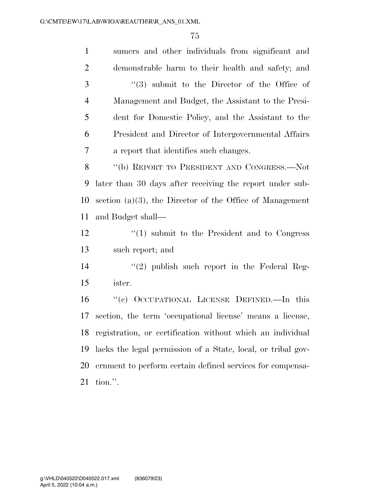| $\mathbf{1}$   | sumers and other individuals from significant and            |
|----------------|--------------------------------------------------------------|
| $\overline{2}$ | demonstrable harm to their health and safety; and            |
| 3              | $(3)$ submit to the Director of the Office of                |
| $\overline{4}$ | Management and Budget, the Assistant to the Presi-           |
| 5              | dent for Domestic Policy, and the Assistant to the           |
| 6              | President and Director of Intergovernmental Affairs          |
| 7              | a report that identifies such changes.                       |
| 8              | "(b) REPORT TO PRESIDENT AND CONGRESS.—Not                   |
| 9              | later than 30 days after receiving the report under sub-     |
| 10             | section $(a)(3)$ , the Director of the Office of Management  |
| 11             | and Budget shall—                                            |
| 12             | $\cdot$ (1) submit to the President and to Congress          |
| 13             | such report; and                                             |
| 14             | $\lq(2)$ publish such report in the Federal Reg-             |
| 15             | ister.                                                       |
| 16             | "(c) OCCUPATIONAL LICENSE DEFINED.—In this                   |
| 17             | section, the term 'occupational license' means a license,    |
| 18             | registration, or certification without which an individual   |
| 19             | lacks the legal permission of a State, local, or tribal gov- |
| 20             | ernment to perform certain defined services for compensa-    |
| 21             | tion.".                                                      |
|                |                                                              |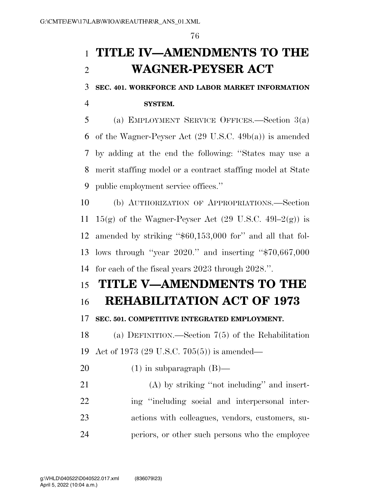# **TITLE IV—AMENDMENTS TO THE WAGNER-PEYSER ACT**

**SEC. 401. WORKFORCE AND LABOR MARKET INFORMATION** 

**SYSTEM.** 

 (a) EMPLOYMENT SERVICE OFFICES.—Section 3(a) of the Wagner-Peyser Act (29 U.S.C. 49b(a)) is amended by adding at the end the following: ''States may use a merit staffing model or a contract staffing model at State public employment service offices.''

 (b) AUTHORIZATION OF APPROPRIATIONS.—Section 11 15(g) of the Wagner-Peyser Act  $(29 \text{ U.S.C. } 491-2(g))$  is amended by striking ''\$60,153,000 for'' and all that fol- lows through ''year 2020.'' and inserting ''\$70,667,000 for each of the fiscal years 2023 through 2028.''.

## **TITLE V—AMENDMENTS TO THE**

### **REHABILITATION ACT OF 1973**

#### **SEC. 501. COMPETITIVE INTEGRATED EMPLOYMENT.**

 (a) DEFINITION.—Section 7(5) of the Rehabilitation Act of 1973 (29 U.S.C. 705(5)) is amended—

20  $(1)$  in subparagraph  $(B)$ —

 (A) by striking ''not including'' and insert-22 ing "including social and interpersonal inter- actions with colleagues, vendors, customers, su-periors, or other such persons who the employee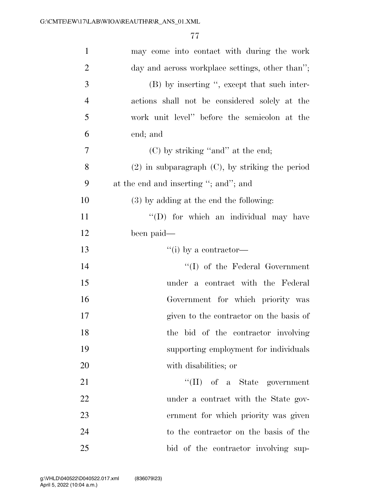| $\mathbf{1}$   | may come into contact with during the work           |
|----------------|------------------------------------------------------|
| $\overline{2}$ | day and across workplace settings, other than";      |
| 3              | (B) by inserting ", except that such inter-          |
| $\overline{4}$ | actions shall not be considered solely at the        |
| 5              | work unit level" before the semicolon at the         |
| 6              | end; and                                             |
| 7              | $(C)$ by striking "and" at the end;                  |
| 8              | $(2)$ in subparagraph $(C)$ , by striking the period |
| 9              | at the end and inserting "; and"; and                |
| 10             | $(3)$ by adding at the end the following:            |
| 11             | "(D) for which an individual may have                |
| 12             | been paid—                                           |
| 13             | $``(i)$ by a contractor—                             |
| 14             | $\lq\lq$ of the Federal Government                   |
| 15             | under a contract with the Federal                    |
| 16             | Government for which priority was                    |
| 17             | given to the contractor on the basis of              |
| 18             | the bid of the contractor involving                  |
| 19             | supporting employment for individuals                |
| 20             | with disabilities; or                                |
| 21             | $\lq\lq$ (II) of a State government                  |
| 22             | under a contract with the State gov-                 |
| 23             | ernment for which priority was given                 |
| 24             | to the contractor on the basis of the                |
| 25             | bid of the contractor involving sup-                 |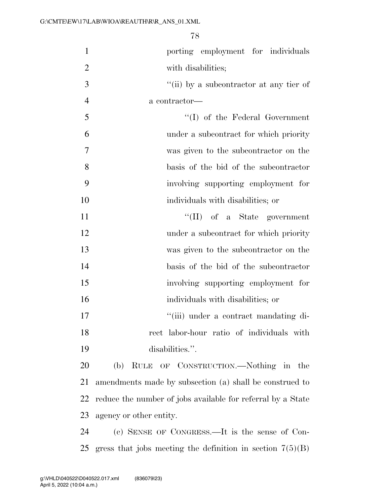| $\mathbf{1}$   | porting employment for individuals                          |
|----------------|-------------------------------------------------------------|
| $\overline{2}$ | with disabilities;                                          |
| 3              | "(ii) by a subcontractor at any tier of                     |
| $\overline{4}$ | a contractor-                                               |
| 5              | $``(I)$ of the Federal Government                           |
| 6              | under a subcontract for which priority                      |
| 7              | was given to the subcontractor on the                       |
| 8              | basis of the bid of the subcontractor                       |
| 9              | involving supporting employment for                         |
| 10             | individuals with disabilities; or                           |
| 11             | $``(II)$ of a State government                              |
| 12             | under a subcontract for which priority                      |
| 13             | was given to the subcontractor on the                       |
| 14             | basis of the bid of the subcontractor                       |
| 15             | involving supporting employment for                         |
| 16             | individuals with disabilities; or                           |
| 17             | "(iii) under a contract mandating di-                       |
| 18             | rect labor-hour ratio of individuals with                   |
| 19             | disabilities.".                                             |
| 20             | RULE OF CONSTRUCTION.—Nothing in the<br>(b)                 |
| 21             | amendments made by subsection (a) shall be construed to     |
| 22             | reduce the number of jobs available for referral by a State |
| 23             | agency or other entity.                                     |
| 24             | (c) SENSE OF CONGRESS.—It is the sense of Con-              |
| 25             | gress that jobs meeting the definition in section $7(5)(B)$ |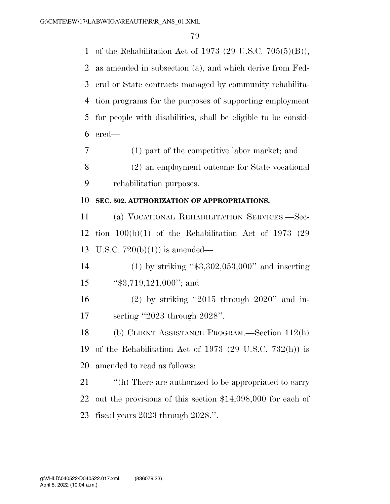of the Rehabilitation Act of 1973 (29 U.S.C. 705(5)(B)), as amended in subsection (a), and which derive from Fed- eral or State contracts managed by community rehabilita- tion programs for the purposes of supporting employment for people with disabilities, shall be eligible to be consid-ered—

 (1) part of the competitive labor market; and (2) an employment outcome for State vocational rehabilitation purposes.

#### **SEC. 502. AUTHORIZATION OF APPROPRIATIONS.**

 (a) VOCATIONAL REHABILITATION SERVICES.—Sec- tion 100(b)(1) of the Rehabilitation Act of 1973 (29 U.S.C. 720(b)(1)) is amended—

- (1) by striking ''\$3,302,053,000'' and inserting 15 "\$3,719,121,000"; and
- (2) by striking ''2015 through 2020'' and in-serting ''2023 through 2028''.

 (b) CLIENT ASSISTANCE PROGRAM.—Section 112(h) of the Rehabilitation Act of 1973 (29 U.S.C. 732(h)) is amended to read as follows:

21 ''(h) There are authorized to be appropriated to carry out the provisions of this section \$14,098,000 for each of fiscal years 2023 through 2028.''.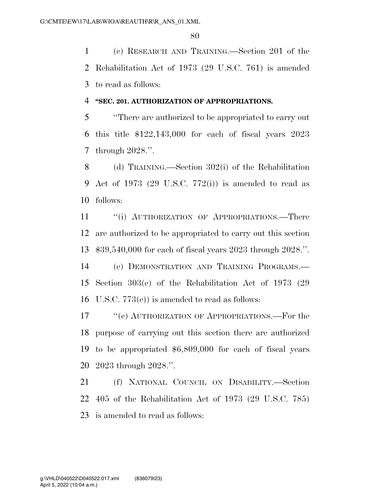(c) RESEARCH AND TRAINING.—Section 201 of the Rehabilitation Act of 1973 (29 U.S.C. 761) is amended to read as follows:

#### **''SEC. 201. AUTHORIZATION OF APPROPRIATIONS.**

 ''There are authorized to be appropriated to carry out this title \$122,143,000 for each of fiscal years 2023 through 2028.''.

 (d) TRAINING.—Section 302(i) of the Rehabilitation Act of 1973 (29 U.S.C. 772(i)) is amended to read as follows:

11 "(i) AUTHORIZATION OF APPROPRIATIONS.—There are authorized to be appropriated to carry out this section \$39,540,000 for each of fiscal years 2023 through 2028.''.

 (e) DEMONSTRATION AND TRAINING PROGRAMS.— Section 303(e) of the Rehabilitation Act of 1973 (29 U.S.C. 773(e)) is amended to read as follows:

 ''(e) AUTHORIZATION OF APPROPRIATIONS.—For the purpose of carrying out this section there are authorized to be appropriated \$6,809,000 for each of fiscal years 2023 through 2028.''.

 (f) NATIONAL COUNCIL ON DISABILITY.—Section 405 of the Rehabilitation Act of 1973 (29 U.S.C. 785) is amended to read as follows: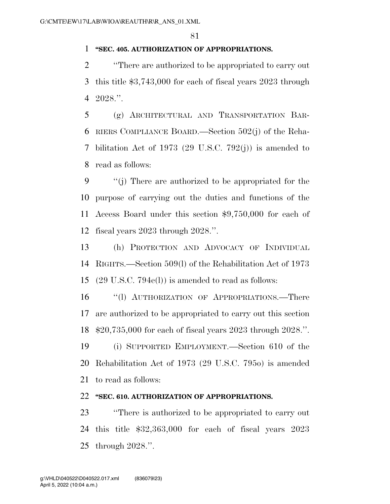#### **''SEC. 405. AUTHORIZATION OF APPROPRIATIONS.**

 ''There are authorized to be appropriated to carry out this title \$3,743,000 for each of fiscal years 2023 through 2028.''.

 (g) ARCHITECTURAL AND TRANSPORTATION BAR- RIERS COMPLIANCE BOARD.—Section 502(j) of the Reha- bilitation Act of 1973 (29 U.S.C. 792(j)) is amended to read as follows:

 ''(j) There are authorized to be appropriated for the purpose of carrying out the duties and functions of the Access Board under this section \$9,750,000 for each of fiscal years 2023 through 2028.''.

 (h) PROTECTION AND ADVOCACY OF INDIVIDUAL RIGHTS.—Section 509(l) of the Rehabilitation Act of 1973 (29 U.S.C. 794e(l)) is amended to read as follows:

 ''(l) AUTHORIZATION OF APPROPRIATIONS.—There are authorized to be appropriated to carry out this section \$20,735,000 for each of fiscal years 2023 through 2028.''.

 (i) SUPPORTED EMPLOYMENT.—Section 610 of the Rehabilitation Act of 1973 (29 U.S.C. 795o) is amended to read as follows:

#### **''SEC. 610. AUTHORIZATION OF APPROPRIATIONS.**

 ''There is authorized to be appropriated to carry out this title \$32,363,000 for each of fiscal years 2023 through 2028.''.